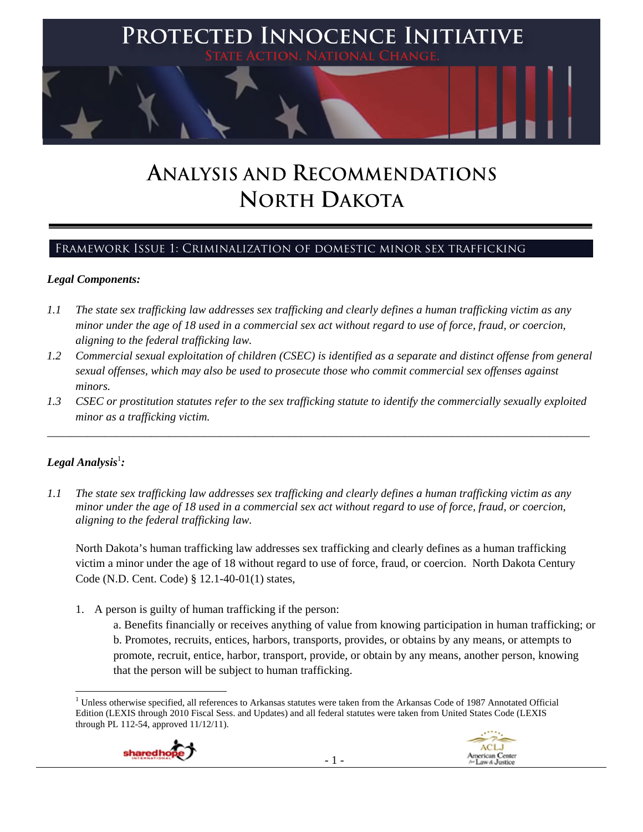

# **ANALYSIS AND RECOMMENDATIONS NORTH DAKOTA**

# Framework Issue 1: Criminalization of domestic minor sex trafficking

#### *Legal Components:*

- *1.1 The state sex trafficking law addresses sex trafficking and clearly defines a human trafficking victim as any minor under the age of 18 used in a commercial sex act without regard to use of force, fraud, or coercion, aligning to the federal trafficking law.*
- *1.2 Commercial sexual exploitation of children (CSEC) is identified as a separate and distinct offense from general sexual offenses, which may also be used to prosecute those who commit commercial sex offenses against minors.*
- *1.3 CSEC or prostitution statutes refer to the sex trafficking statute to identify the commercially sexually exploited minor as a trafficking victim.*

\_\_\_\_\_\_\_\_\_\_\_\_\_\_\_\_\_\_\_\_\_\_\_\_\_\_\_\_\_\_\_\_\_\_\_\_\_\_\_\_\_\_\_\_\_\_\_\_\_\_\_\_\_\_\_\_\_\_\_\_\_\_\_\_\_\_\_\_\_\_\_\_\_\_\_\_\_\_\_\_\_\_\_\_\_\_\_\_\_\_\_\_\_\_

# $Legal$  Analysis<sup>1</sup>:

*1.1 The state sex trafficking law addresses sex trafficking and clearly defines a human trafficking victim as any minor under the age of 18 used in a commercial sex act without regard to use of force, fraud, or coercion, aligning to the federal trafficking law.*

North Dakota's human trafficking law addresses sex trafficking and clearly defines as a human trafficking victim a minor under the age of 18 without regard to use of force, fraud, or coercion. North Dakota Century Code (N.D. Cent. Code) § 12.1-40-01(1) states,

1. A person is guilty of human trafficking if the person:

a. Benefits financially or receives anything of value from knowing participation in human trafficking; or b. Promotes, recruits, entices, harbors, transports, provides, or obtains by any means, or attempts to promote, recruit, entice, harbor, transport, provide, or obtain by any means, another person, knowing that the person will be subject to human trafficking.

 <sup>1</sup> Unless otherwise specified, all references to Arkansas statutes were taken from the Arkansas Code of 1987 Annotated Official Edition (LEXIS through 2010 Fiscal Sess. and Updates) and all federal statutes were taken from United States Code (LEXIS through PL 112-54, approved 11/12/11).



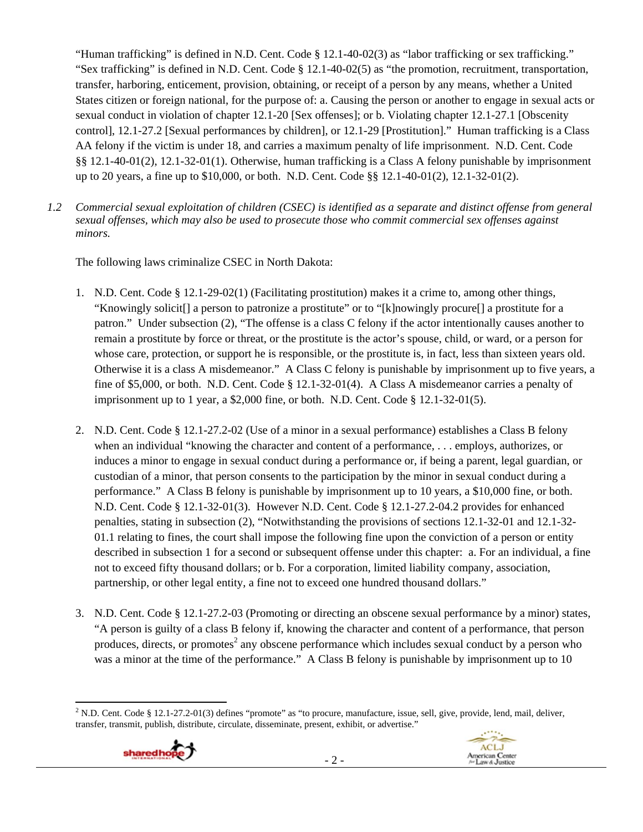"Human trafficking" is defined in N.D. Cent. Code § 12.1-40-02(3) as "labor trafficking or sex trafficking." "Sex trafficking" is defined in N.D. Cent. Code § 12.1-40-02(5) as "the promotion, recruitment, transportation, transfer, harboring, enticement, provision, obtaining, or receipt of a person by any means, whether a United States citizen or foreign national, for the purpose of: a. Causing the person or another to engage in sexual acts or sexual conduct in violation of chapter 12.1-20 [Sex offenses]; or b. Violating chapter 12.1-27.1 [Obscenity control], 12.1-27.2 [Sexual performances by children], or 12.1-29 [Prostitution]." Human trafficking is a Class AA felony if the victim is under 18, and carries a maximum penalty of life imprisonment. N.D. Cent. Code §§ 12.1-40-01(2), 12.1-32-01(1). Otherwise, human trafficking is a Class A felony punishable by imprisonment up to 20 years, a fine up to \$10,000, or both. N.D. Cent. Code §§ 12.1-40-01(2), 12.1-32-01(2).

*1.2 Commercial sexual exploitation of children (CSEC) is identified as a separate and distinct offense from general sexual offenses, which may also be used to prosecute those who commit commercial sex offenses against minors.*

The following laws criminalize CSEC in North Dakota:

- 1. N.D. Cent. Code § 12.1-29-02(1) (Facilitating prostitution) makes it a crime to, among other things, "Knowingly solicit[] a person to patronize a prostitute" or to "[k]nowingly procure[] a prostitute for a patron." Under subsection (2), "The offense is a class C felony if the actor intentionally causes another to remain a prostitute by force or threat, or the prostitute is the actor's spouse, child, or ward, or a person for whose care, protection, or support he is responsible, or the prostitute is, in fact, less than sixteen years old. Otherwise it is a class A misdemeanor." A Class C felony is punishable by imprisonment up to five years, a fine of \$5,000, or both. N.D. Cent. Code § 12.1-32-01(4). A Class A misdemeanor carries a penalty of imprisonment up to 1 year, a \$2,000 fine, or both. N.D. Cent. Code § 12.1-32-01(5).
- 2. N.D. Cent. Code § 12.1-27.2-02 (Use of a minor in a sexual performance) establishes a Class B felony when an individual "knowing the character and content of a performance, . . . employs, authorizes, or induces a minor to engage in sexual conduct during a performance or, if being a parent, legal guardian, or custodian of a minor, that person consents to the participation by the minor in sexual conduct during a performance." A Class B felony is punishable by imprisonment up to 10 years, a \$10,000 fine, or both. N.D. Cent. Code § 12.1-32-01(3). However N.D. Cent. Code § 12.1-27.2-04.2 provides for enhanced penalties, stating in subsection (2), "Notwithstanding the provisions of sections 12.1-32-01 and 12.1-32- 01.1 relating to fines, the court shall impose the following fine upon the conviction of a person or entity described in subsection 1 for a second or subsequent offense under this chapter: a. For an individual, a fine not to exceed fifty thousand dollars; or b. For a corporation, limited liability company, association, partnership, or other legal entity, a fine not to exceed one hundred thousand dollars."
- 3. N.D. Cent. Code § 12.1-27.2-03 (Promoting or directing an obscene sexual performance by a minor) states, "A person is guilty of a class B felony if, knowing the character and content of a performance, that person produces, directs, or promotes<sup>2</sup> any obscene performance which includes sexual conduct by a person who was a minor at the time of the performance." A Class B felony is punishable by imprisonment up to 10

 2 N.D. Cent. Code § 12.1-27.2-01(3) defines "promote" as "to procure, manufacture, issue, sell, give, provide, lend, mail, deliver, transfer, transmit, publish, distribute, circulate, disseminate, present, exhibit, or advertise."



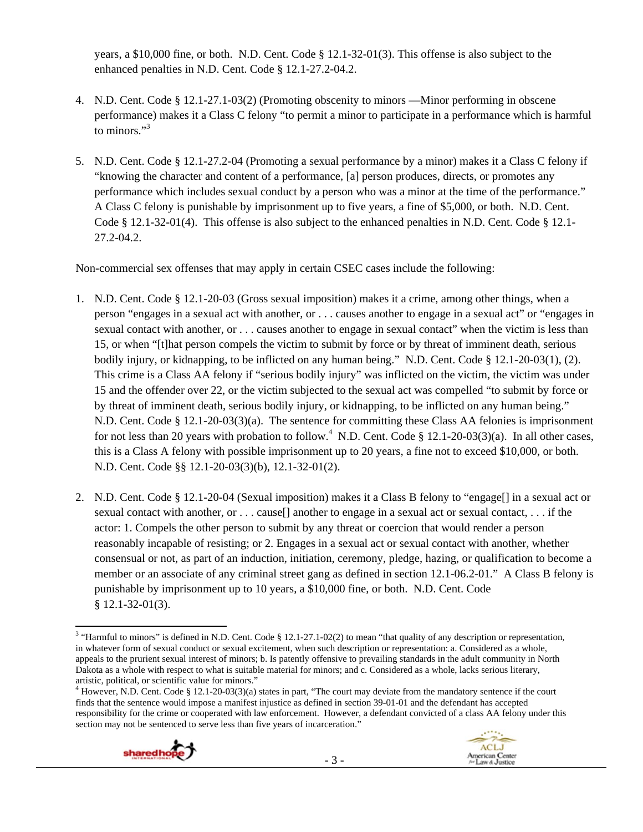years, a \$10,000 fine, or both. N.D. Cent. Code § 12.1-32-01(3). This offense is also subject to the enhanced penalties in N.D. Cent. Code § 12.1-27.2-04.2.

- 4. N.D. Cent. Code § 12.1-27.1-03(2) (Promoting obscenity to minors —Minor performing in obscene performance) makes it a Class C felony "to permit a minor to participate in a performance which is harmful to minors $"3$
- 5. N.D. Cent. Code § 12.1-27.2-04 (Promoting a sexual performance by a minor) makes it a Class C felony if "knowing the character and content of a performance, [a] person produces, directs, or promotes any performance which includes sexual conduct by a person who was a minor at the time of the performance." A Class C felony is punishable by imprisonment up to five years, a fine of \$5,000, or both. N.D. Cent. Code § 12.1-32-01(4). This offense is also subject to the enhanced penalties in N.D. Cent. Code § 12.1- 27.2-04.2.

Non-commercial sex offenses that may apply in certain CSEC cases include the following:

- 1. N.D. Cent. Code § 12.1-20-03 (Gross sexual imposition) makes it a crime, among other things, when a person "engages in a sexual act with another, or . . . causes another to engage in a sexual act" or "engages in sexual contact with another, or . . . causes another to engage in sexual contact" when the victim is less than 15, or when "[t]hat person compels the victim to submit by force or by threat of imminent death, serious bodily injury, or kidnapping, to be inflicted on any human being." N.D. Cent. Code § 12.1-20-03(1), (2). This crime is a Class AA felony if "serious bodily injury" was inflicted on the victim, the victim was under 15 and the offender over 22, or the victim subjected to the sexual act was compelled "to submit by force or by threat of imminent death, serious bodily injury, or kidnapping, to be inflicted on any human being." N.D. Cent. Code § 12.1-20-03(3)(a). The sentence for committing these Class AA felonies is imprisonment for not less than 20 years with probation to follow.<sup>4</sup> N.D. Cent. Code § 12.1-20-03(3)(a). In all other cases, this is a Class A felony with possible imprisonment up to 20 years, a fine not to exceed \$10,000, or both. N.D. Cent. Code §§ 12.1-20-03(3)(b), 12.1-32-01(2).
- 2. N.D. Cent. Code § 12.1-20-04 (Sexual imposition) makes it a Class B felony to "engage[] in a sexual act or sexual contact with another, or . . . cause[] another to engage in a sexual act or sexual contact, . . . if the actor: 1. Compels the other person to submit by any threat or coercion that would render a person reasonably incapable of resisting; or 2. Engages in a sexual act or sexual contact with another, whether consensual or not, as part of an induction, initiation, ceremony, pledge, hazing, or qualification to become a member or an associate of any criminal street gang as defined in section 12.1-06.2-01." A Class B felony is punishable by imprisonment up to 10 years, a \$10,000 fine, or both. N.D. Cent. Code § 12.1-32-01(3).

 $4$  However, N.D. Cent. Code § 12.1-20-03(3)(a) states in part, "The court may deviate from the mandatory sentence if the court finds that the sentence would impose a manifest injustice as defined in section 39-01-01 and the defendant has accepted responsibility for the crime or cooperated with law enforcement. However, a defendant convicted of a class AA felony under this section may not be sentenced to serve less than five years of incarceration."





<sup>&</sup>lt;sup>3</sup> "Harmful to minors" is defined in N.D. Cent. Code § 12.1-27.1-02(2) to mean "that quality of any description or representation, in whatever form of sexual conduct or sexual excitement, when such description or representation: a. Considered as a whole, appeals to the prurient sexual interest of minors; b. Is patently offensive to prevailing standards in the adult community in North Dakota as a whole with respect to what is suitable material for minors; and c. Considered as a whole, lacks serious literary, artistic, political, or scientific value for minors." 4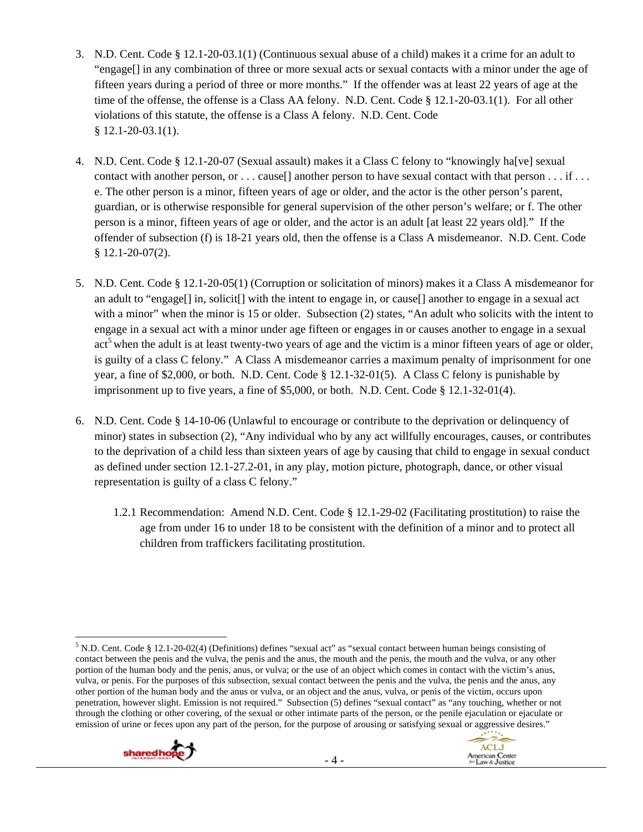- 3. N.D. Cent. Code § 12.1-20-03.1(1) (Continuous sexual abuse of a child) makes it a crime for an adult to "engage[] in any combination of three or more sexual acts or sexual contacts with a minor under the age of fifteen years during a period of three or more months." If the offender was at least 22 years of age at the time of the offense, the offense is a Class AA felony. N.D. Cent. Code § 12.1-20-03.1(1). For all other violations of this statute, the offense is a Class A felony. N.D. Cent. Code  $$12.1-20-03.1(1).$
- 4. N.D. Cent. Code § 12.1-20-07 (Sexual assault) makes it a Class C felony to "knowingly ha[ve] sexual contact with another person, or . . . cause[] another person to have sexual contact with that person . . . if . . . e. The other person is a minor, fifteen years of age or older, and the actor is the other person's parent, guardian, or is otherwise responsible for general supervision of the other person's welfare; or f. The other person is a minor, fifteen years of age or older, and the actor is an adult [at least 22 years old]." If the offender of subsection (f) is 18-21 years old, then the offense is a Class A misdemeanor. N.D. Cent. Code § 12.1-20-07(2).
- 5. N.D. Cent. Code § 12.1-20-05(1) (Corruption or solicitation of minors) makes it a Class A misdemeanor for an adult to "engage[] in, solicit[] with the intent to engage in, or cause[] another to engage in a sexual act with a minor" when the minor is 15 or older. Subsection (2) states, "An adult who solicits with the intent to engage in a sexual act with a minor under age fifteen or engages in or causes another to engage in a sexual act<sup>5</sup> when the adult is at least twenty-two years of age and the victim is a minor fifteen years of age or older, is guilty of a class C felony." A Class A misdemeanor carries a maximum penalty of imprisonment for one year, a fine of \$2,000, or both. N.D. Cent. Code § 12.1-32-01(5). A Class C felony is punishable by imprisonment up to five years, a fine of  $$5,000$ , or both. N.D. Cent. Code  $§$  12.1-32-01(4).
- 6. N.D. Cent. Code § 14-10-06 (Unlawful to encourage or contribute to the deprivation or delinquency of minor) states in subsection (2), "Any individual who by any act willfully encourages, causes, or contributes to the deprivation of a child less than sixteen years of age by causing that child to engage in sexual conduct as defined under section 12.1-27.2-01, in any play, motion picture, photograph, dance, or other visual representation is guilty of a class C felony."
	- 1.2.1 Recommendation: Amend N.D. Cent. Code § 12.1-29-02 (Facilitating prostitution) to raise the age from under 16 to under 18 to be consistent with the definition of a minor and to protect all children from traffickers facilitating prostitution.

 <sup>5</sup> N.D. Cent. Code § 12.1-20-02(4) (Definitions) defines "sexual act" as "sexual contact between human beings consisting of contact between the penis and the vulva, the penis and the anus, the mouth and the penis, the mouth and the vulva, or any other portion of the human body and the penis, anus, or vulva; or the use of an object which comes in contact with the victim's anus, vulva, or penis. For the purposes of this subsection, sexual contact between the penis and the vulva, the penis and the anus, any other portion of the human body and the anus or vulva, or an object and the anus, vulva, or penis of the victim, occurs upon penetration, however slight. Emission is not required." Subsection (5) defines "sexual contact" as "any touching, whether or not through the clothing or other covering, of the sexual or other intimate parts of the person, or the penile ejaculation or ejaculate or emission of urine or feces upon any part of the person, for the purpose of arousing or satisfying sexual or aggressive desires."



**ACLJ** 

American Center<br>/// Law & Justice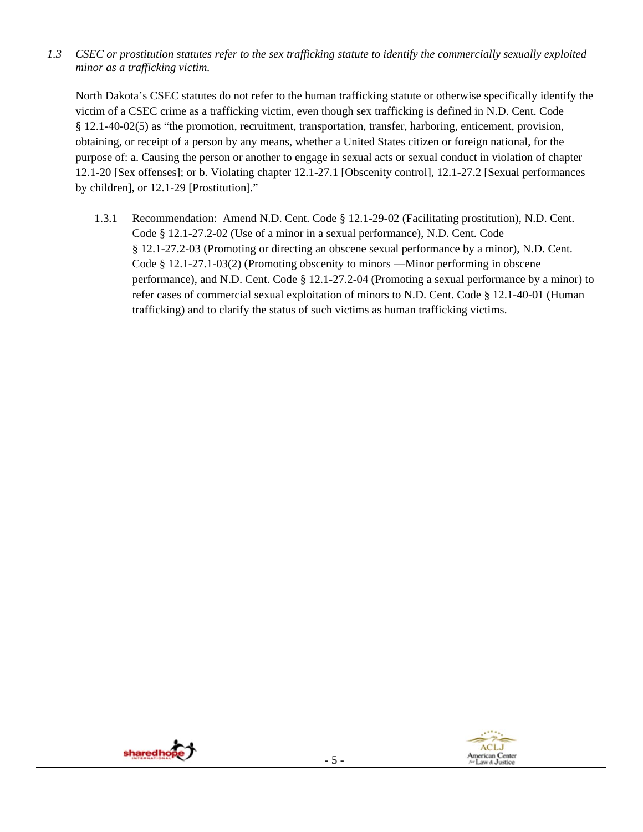*1.3 CSEC or prostitution statutes refer to the sex trafficking statute to identify the commercially sexually exploited minor as a trafficking victim.*

North Dakota's CSEC statutes do not refer to the human trafficking statute or otherwise specifically identify the victim of a CSEC crime as a trafficking victim, even though sex trafficking is defined in N.D. Cent. Code § 12.1-40-02(5) as "the promotion, recruitment, transportation, transfer, harboring, enticement, provision, obtaining, or receipt of a person by any means, whether a United States citizen or foreign national, for the purpose of: a. Causing the person or another to engage in sexual acts or sexual conduct in violation of chapter 12.1-20 [Sex offenses]; or b. Violating chapter 12.1-27.1 [Obscenity control], 12.1-27.2 [Sexual performances by children], or 12.1-29 [Prostitution]."

1.3.1 Recommendation: Amend N.D. Cent. Code § 12.1-29-02 (Facilitating prostitution), N.D. Cent. Code § 12.1-27.2-02 (Use of a minor in a sexual performance), N.D. Cent. Code § 12.1-27.2-03 (Promoting or directing an obscene sexual performance by a minor), N.D. Cent. Code § 12.1-27.1-03(2) (Promoting obscenity to minors —Minor performing in obscene performance), and N.D. Cent. Code § 12.1-27.2-04 (Promoting a sexual performance by a minor) to refer cases of commercial sexual exploitation of minors to N.D. Cent. Code § 12.1-40-01 (Human trafficking) and to clarify the status of such victims as human trafficking victims.



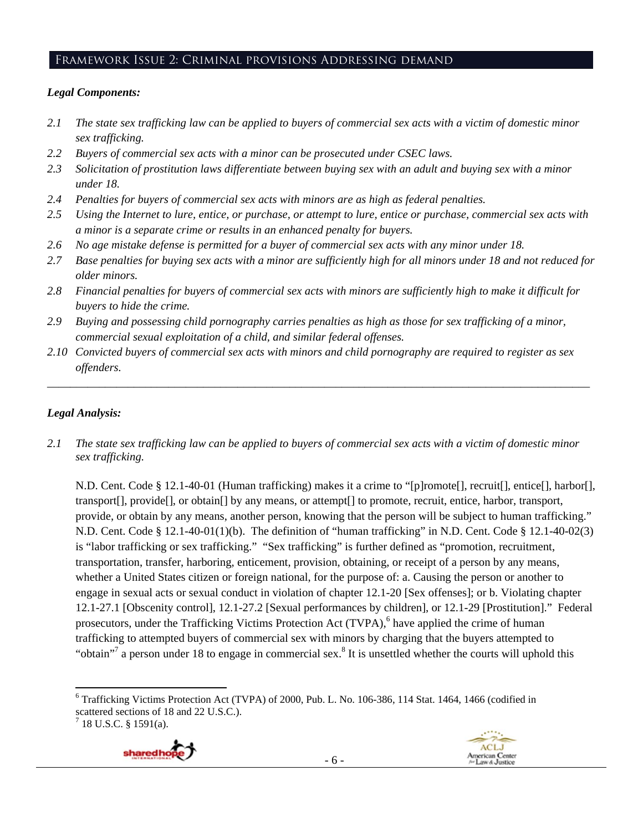#### Framework Issue 2: Criminal provisions Addressing demand

#### *Legal Components:*

- *2.1 The state sex trafficking law can be applied to buyers of commercial sex acts with a victim of domestic minor sex trafficking.*
- *2.2 Buyers of commercial sex acts with a minor can be prosecuted under CSEC laws.*
- *2.3 Solicitation of prostitution laws differentiate between buying sex with an adult and buying sex with a minor under 18.*
- *2.4 Penalties for buyers of commercial sex acts with minors are as high as federal penalties.*
- *2.5 Using the Internet to lure, entice, or purchase, or attempt to lure, entice or purchase, commercial sex acts with a minor is a separate crime or results in an enhanced penalty for buyers.*
- *2.6 No age mistake defense is permitted for a buyer of commercial sex acts with any minor under 18.*
- 2.7 Base penalties for buying sex acts with a minor are sufficiently high for all minors under 18 and not reduced for *older minors.*
- *2.8 Financial penalties for buyers of commercial sex acts with minors are sufficiently high to make it difficult for buyers to hide the crime.*
- *2.9 Buying and possessing child pornography carries penalties as high as those for sex trafficking of a minor, commercial sexual exploitation of a child, and similar federal offenses.*
- *2.10 Convicted buyers of commercial sex acts with minors and child pornography are required to register as sex offenders.*

\_\_\_\_\_\_\_\_\_\_\_\_\_\_\_\_\_\_\_\_\_\_\_\_\_\_\_\_\_\_\_\_\_\_\_\_\_\_\_\_\_\_\_\_\_\_\_\_\_\_\_\_\_\_\_\_\_\_\_\_\_\_\_\_\_\_\_\_\_\_\_\_\_\_\_\_\_\_\_\_\_\_\_\_\_\_\_\_\_\_\_\_\_\_

#### *Legal Analysis:*

*2.1 The state sex trafficking law can be applied to buyers of commercial sex acts with a victim of domestic minor sex trafficking.* 

N.D. Cent. Code § 12.1-40-01 (Human trafficking) makes it a crime to "[p]romote[], recruit[], entice[], harbor[], transport[], provide[], or obtain[] by any means, or attempt[] to promote, recruit, entice, harbor, transport, provide, or obtain by any means, another person, knowing that the person will be subject to human trafficking." N.D. Cent. Code § 12.1-40-01(1)(b). The definition of "human trafficking" in N.D. Cent. Code § 12.1-40-02(3) is "labor trafficking or sex trafficking." "Sex trafficking" is further defined as "promotion, recruitment, transportation, transfer, harboring, enticement, provision, obtaining, or receipt of a person by any means, whether a United States citizen or foreign national, for the purpose of: a. Causing the person or another to engage in sexual acts or sexual conduct in violation of chapter 12.1-20 [Sex offenses]; or b. Violating chapter 12.1-27.1 [Obscenity control], 12.1-27.2 [Sexual performances by children], or 12.1-29 [Prostitution]." Federal prosecutors, under the Trafficking Victims Protection Act (TVPA),<sup>6</sup> have applied the crime of human trafficking to attempted buyers of commercial sex with minors by charging that the buyers attempted to "obtain"<sup>7</sup> a person under 18 to engage in commercial sex.<sup>8</sup> It is unsettled whether the courts will uphold this

 $7$  18 U.S.C. § 1591(a).



- 6 -



<sup>&</sup>lt;sup>6</sup> Trafficking Victims Protection Act (TVPA) of 2000, Pub. L. No. 106-386, 114 Stat. 1464, 1466 (codified in scattered sections of 18 and 22 U.S.C.).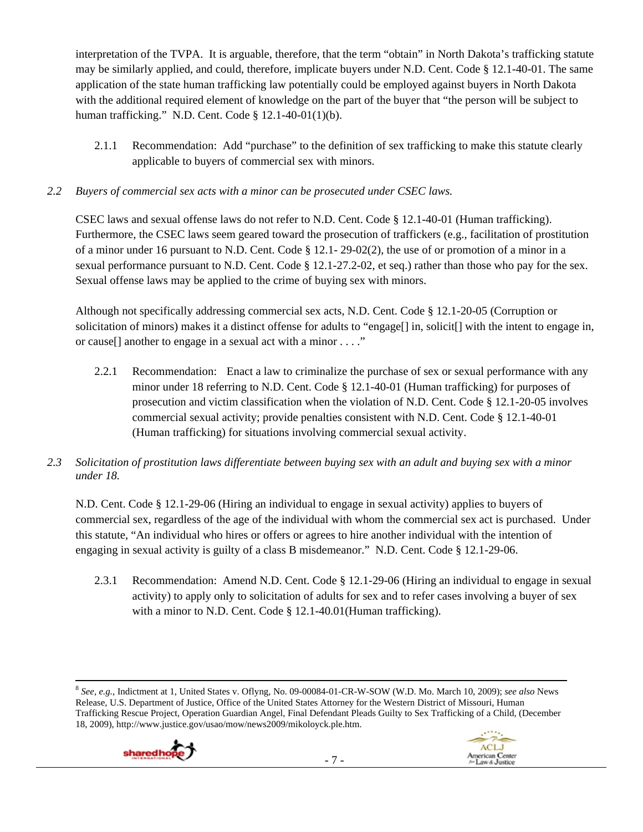interpretation of the TVPA. It is arguable, therefore, that the term "obtain" in North Dakota's trafficking statute may be similarly applied, and could, therefore, implicate buyers under N.D. Cent. Code § 12.1-40-01. The same application of the state human trafficking law potentially could be employed against buyers in North Dakota with the additional required element of knowledge on the part of the buyer that "the person will be subject to human trafficking." N.D. Cent. Code § 12.1-40-01(1)(b).

2.1.1 Recommendation: Add "purchase" to the definition of sex trafficking to make this statute clearly applicable to buyers of commercial sex with minors.

# *2.2 Buyers of commercial sex acts with a minor can be prosecuted under CSEC laws.*

CSEC laws and sexual offense laws do not refer to N.D. Cent. Code § 12.1-40-01 (Human trafficking). Furthermore, the CSEC laws seem geared toward the prosecution of traffickers (e.g., facilitation of prostitution of a minor under 16 pursuant to N.D. Cent. Code § 12.1- 29-02(2), the use of or promotion of a minor in a sexual performance pursuant to N.D. Cent. Code § 12.1-27.2-02, et seq.) rather than those who pay for the sex. Sexual offense laws may be applied to the crime of buying sex with minors.

Although not specifically addressing commercial sex acts, N.D. Cent. Code § 12.1-20-05 (Corruption or solicitation of minors) makes it a distinct offense for adults to "engage[] in, solicit[] with the intent to engage in, or cause[] another to engage in a sexual act with a minor . . . ."

- 2.2.1 Recommendation: Enact a law to criminalize the purchase of sex or sexual performance with any minor under 18 referring to N.D. Cent. Code § 12.1-40-01 (Human trafficking) for purposes of prosecution and victim classification when the violation of N.D. Cent. Code § 12.1-20-05 involves commercial sexual activity; provide penalties consistent with N.D. Cent. Code § 12.1-40-01 (Human trafficking) for situations involving commercial sexual activity.
- *2.3 Solicitation of prostitution laws differentiate between buying sex with an adult and buying sex with a minor under 18.*

N.D. Cent. Code § 12.1-29-06 (Hiring an individual to engage in sexual activity) applies to buyers of commercial sex, regardless of the age of the individual with whom the commercial sex act is purchased. Under this statute, "An individual who hires or offers or agrees to hire another individual with the intention of engaging in sexual activity is guilty of a class B misdemeanor." N.D. Cent. Code § 12.1-29-06.

2.3.1 Recommendation: Amend N.D. Cent. Code § 12.1-29-06 (Hiring an individual to engage in sexual activity) to apply only to solicitation of adults for sex and to refer cases involving a buyer of sex with a minor to N.D. Cent. Code § 12.1-40.01 (Human trafficking).

 <sup>8</sup> *See, e.g.*, Indictment at 1, United States v. Oflyng, No. 09-00084-01-CR-W-SOW (W.D. Mo. March 10, 2009); *see also* News Release, U.S. Department of Justice, Office of the United States Attorney for the Western District of Missouri, Human Trafficking Rescue Project, Operation Guardian Angel, Final Defendant Pleads Guilty to Sex Trafficking of a Child, (December 18, 2009), http://www.justice.gov/usao/mow/news2009/mikoloyck.ple.htm.



**ACLJ** 

American Center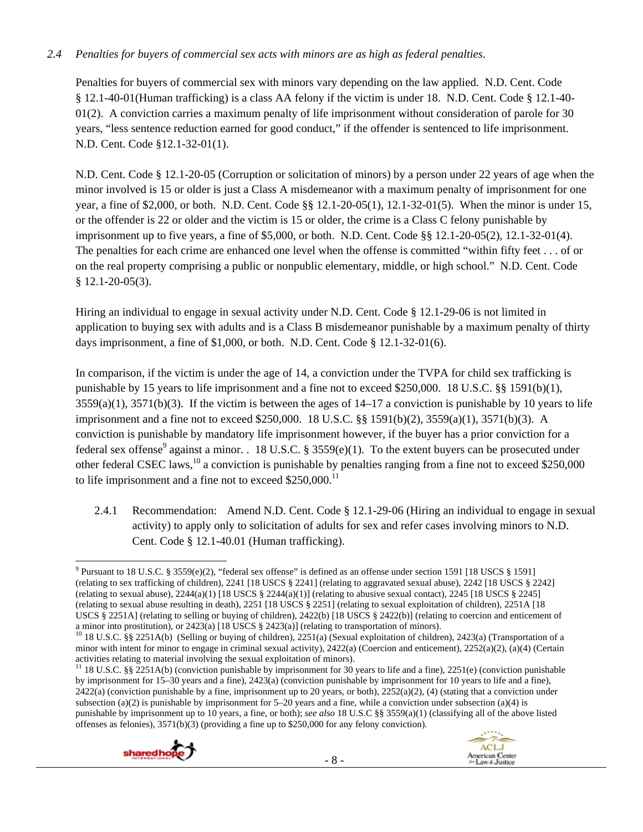# *2.4 Penalties for buyers of commercial sex acts with minors are as high as federal penalties.*

Penalties for buyers of commercial sex with minors vary depending on the law applied. N.D. Cent. Code § 12.1-40-01(Human trafficking) is a class AA felony if the victim is under 18. N.D. Cent. Code § 12.1-40- 01(2). A conviction carries a maximum penalty of life imprisonment without consideration of parole for 30 years, "less sentence reduction earned for good conduct," if the offender is sentenced to life imprisonment. N.D. Cent. Code §12.1-32-01(1).

N.D. Cent. Code § 12.1-20-05 (Corruption or solicitation of minors) by a person under 22 years of age when the minor involved is 15 or older is just a Class A misdemeanor with a maximum penalty of imprisonment for one year, a fine of \$2,000, or both. N.D. Cent. Code §§ 12.1-20-05(1), 12.1-32-01(5). When the minor is under 15, or the offender is 22 or older and the victim is 15 or older, the crime is a Class C felony punishable by imprisonment up to five years, a fine of \$5,000, or both. N.D. Cent. Code §§ 12.1-20-05(2), 12.1-32-01(4). The penalties for each crime are enhanced one level when the offense is committed "within fifty feet . . . of or on the real property comprising a public or nonpublic elementary, middle, or high school." N.D. Cent. Code § 12.1-20-05(3).

Hiring an individual to engage in sexual activity under N.D. Cent. Code § 12.1-29-06 is not limited in application to buying sex with adults and is a Class B misdemeanor punishable by a maximum penalty of thirty days imprisonment, a fine of \$1,000, or both. N.D. Cent. Code § 12.1-32-01(6).

In comparison, if the victim is under the age of 14, a conviction under the TVPA for child sex trafficking is punishable by 15 years to life imprisonment and a fine not to exceed \$250,000. 18 U.S.C. §§ 1591(b)(1),  $3559(a)(1)$ ,  $3571(b)(3)$ . If the victim is between the ages of  $14-17$  a conviction is punishable by 10 years to life imprisonment and a fine not to exceed \$250,000. 18 U.S.C. §§ 1591(b)(2), 3559(a)(1), 3571(b)(3). A conviction is punishable by mandatory life imprisonment however, if the buyer has a prior conviction for a federal sex offense<sup>9</sup> against a minor. . 18 U.S.C. § 3559(e)(1). To the extent buyers can be prosecuted under other federal CSEC laws,<sup>10</sup> a conviction is punishable by penalties ranging from a fine not to exceed \$250,000 to life imprisonment and a fine not to exceed  $$250,000$ .<sup>11</sup>

2.4.1 Recommendation: Amend N.D. Cent. Code § 12.1-29-06 (Hiring an individual to engage in sexual activity) to apply only to solicitation of adults for sex and refer cases involving minors to N.D. Cent. Code § 12.1-40.01 (Human trafficking).

<sup>&</sup>lt;sup>11</sup> 18 U.S.C. §§ 2251A(b) (conviction punishable by imprisonment for 30 years to life and a fine), 2251(e) (conviction punishable by imprisonment for 15–30 years and a fine), 2423(a) (conviction punishable by imprisonment for 10 years to life and a fine),  $2422(a)$  (conviction punishable by a fine, imprisonment up to 20 years, or both),  $2252(a)(2)$ , (4) (stating that a conviction under subsection (a)(2) is punishable by imprisonment for 5–20 years and a fine, while a conviction under subsection (a)(4) is punishable by imprisonment up to 10 years, a fine, or both); *see also* 18 U.S.C §§ 3559(a)(1) (classifying all of the above listed offenses as felonies), 3571(b)(3) (providing a fine up to \$250,000 for any felony conviction).





 <sup>9</sup> Pursuant to 18 U.S.C. § 3559(e)(2), "federal sex offense" is defined as an offense under section 1591 [18 USCS § 1591] (relating to sex trafficking of children), 2241 [18 USCS § 2241] (relating to aggravated sexual abuse), 2242 [18 USCS § 2242] (relating to sexual abuse),  $2244(a)(1)$  [18 USCS §  $2244(a)(1)$ ] (relating to abusive sexual contact),  $2245$  [18 USCS § 2245] (relating to sexual abuse resulting in death), 2251 [18 USCS § 2251] (relating to sexual exploitation of children), 2251A [18 USCS § 2251A] (relating to selling or buying of children), 2422(b) [18 USCS § 2422(b)] (relating to coercion and enticement of a minor into prostitution), or 2423(a) [18 USCS  $\S$  2423(a)] (relating to transportation of minors).

<sup>&</sup>lt;sup>10</sup> 18 U.S.C. §§ 2251A(b) (Selling or buying of children), 2251(a) (Sexual exploitation of children), 2423(a) (Transportation of a minor with intent for minor to engage in criminal sexual activity), 2422(a) (Coercion and enticement), 2252(a)(2), (a)(4) (Certain activities relating to material involving the sexual exploitation of minors).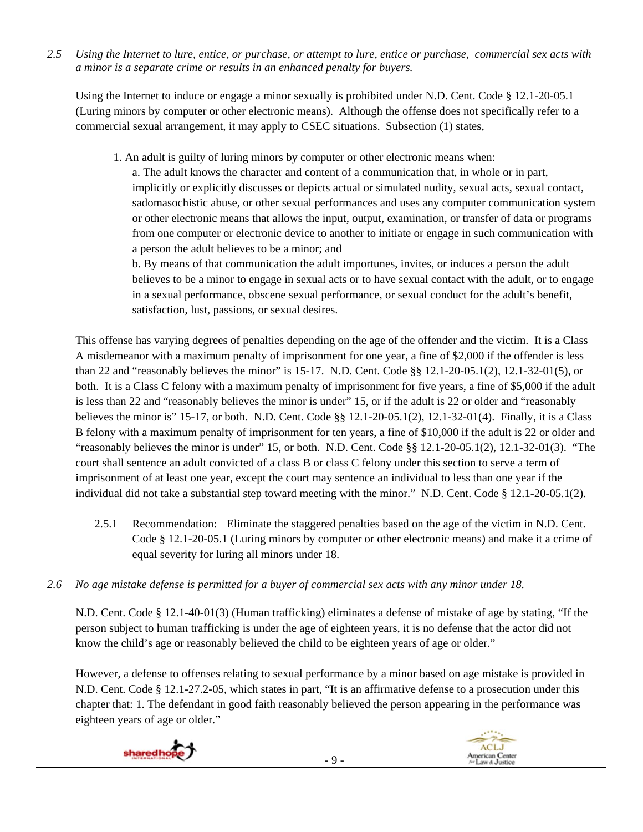*2.5 Using the Internet to lure, entice, or purchase, or attempt to lure, entice or purchase, commercial sex acts with a minor is a separate crime or results in an enhanced penalty for buyers.* 

Using the Internet to induce or engage a minor sexually is prohibited under N.D. Cent. Code § 12.1-20-05.1 (Luring minors by computer or other electronic means). Although the offense does not specifically refer to a commercial sexual arrangement, it may apply to CSEC situations. Subsection (1) states,

1. An adult is guilty of luring minors by computer or other electronic means when:

a. The adult knows the character and content of a communication that, in whole or in part, implicitly or explicitly discusses or depicts actual or simulated nudity, sexual acts, sexual contact, sadomasochistic abuse, or other sexual performances and uses any computer communication system or other electronic means that allows the input, output, examination, or transfer of data or programs from one computer or electronic device to another to initiate or engage in such communication with a person the adult believes to be a minor; and

b. By means of that communication the adult importunes, invites, or induces a person the adult believes to be a minor to engage in sexual acts or to have sexual contact with the adult, or to engage in a sexual performance, obscene sexual performance, or sexual conduct for the adult's benefit, satisfaction, lust, passions, or sexual desires.

This offense has varying degrees of penalties depending on the age of the offender and the victim. It is a Class A misdemeanor with a maximum penalty of imprisonment for one year, a fine of \$2,000 if the offender is less than 22 and "reasonably believes the minor" is 15-17. N.D. Cent. Code §§ 12.1-20-05.1(2), 12.1-32-01(5), or both. It is a Class C felony with a maximum penalty of imprisonment for five years, a fine of \$5,000 if the adult is less than 22 and "reasonably believes the minor is under" 15, or if the adult is 22 or older and "reasonably believes the minor is" 15-17, or both. N.D. Cent. Code §§ 12.1-20-05.1(2), 12.1-32-01(4). Finally, it is a Class B felony with a maximum penalty of imprisonment for ten years, a fine of \$10,000 if the adult is 22 or older and "reasonably believes the minor is under" 15, or both. N.D. Cent. Code §§ 12.1-20-05.1(2), 12.1-32-01(3). "The court shall sentence an adult convicted of a class B or class C felony under this section to serve a term of imprisonment of at least one year, except the court may sentence an individual to less than one year if the individual did not take a substantial step toward meeting with the minor." N.D. Cent. Code § 12.1-20-05.1(2).

- 2.5.1 Recommendation: Eliminate the staggered penalties based on the age of the victim in N.D. Cent. Code § 12.1-20-05.1 (Luring minors by computer or other electronic means) and make it a crime of equal severity for luring all minors under 18.
- *2.6 No age mistake defense is permitted for a buyer of commercial sex acts with any minor under 18.*

N.D. Cent. Code § 12.1-40-01(3) (Human trafficking) eliminates a defense of mistake of age by stating, "If the person subject to human trafficking is under the age of eighteen years, it is no defense that the actor did not know the child's age or reasonably believed the child to be eighteen years of age or older."

However, a defense to offenses relating to sexual performance by a minor based on age mistake is provided in N.D. Cent. Code § 12.1-27.2-05, which states in part, "It is an affirmative defense to a prosecution under this chapter that: 1. The defendant in good faith reasonably believed the person appearing in the performance was eighteen years of age or older."

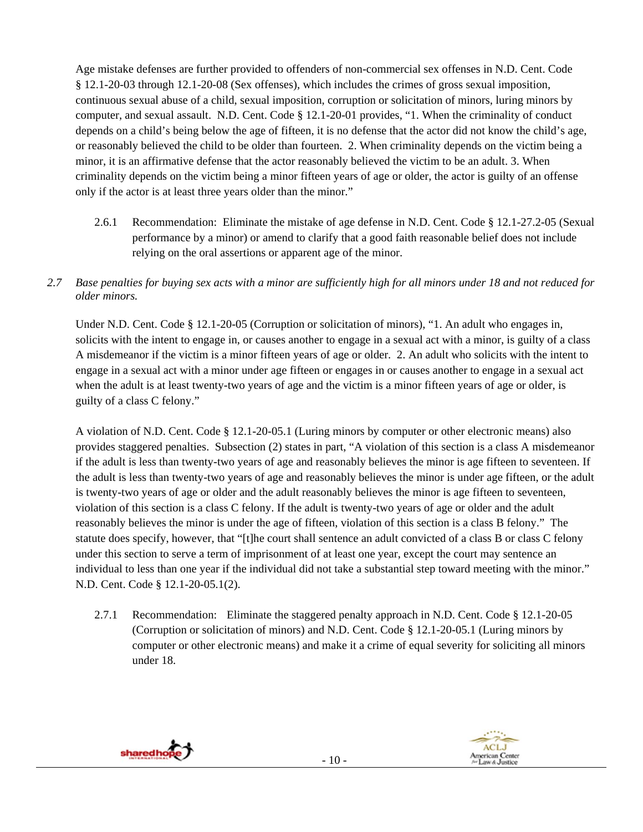Age mistake defenses are further provided to offenders of non-commercial sex offenses in N.D. Cent. Code § 12.1-20-03 through 12.1-20-08 (Sex offenses), which includes the crimes of gross sexual imposition, continuous sexual abuse of a child, sexual imposition, corruption or solicitation of minors, luring minors by computer, and sexual assault. N.D. Cent. Code § 12.1-20-01 provides, "1. When the criminality of conduct depends on a child's being below the age of fifteen, it is no defense that the actor did not know the child's age, or reasonably believed the child to be older than fourteen. 2. When criminality depends on the victim being a minor, it is an affirmative defense that the actor reasonably believed the victim to be an adult. 3. When criminality depends on the victim being a minor fifteen years of age or older, the actor is guilty of an offense only if the actor is at least three years older than the minor."

- 2.6.1 Recommendation: Eliminate the mistake of age defense in N.D. Cent. Code § 12.1-27.2-05 (Sexual performance by a minor) or amend to clarify that a good faith reasonable belief does not include relying on the oral assertions or apparent age of the minor.
- *2.7 Base penalties for buying sex acts with a minor are sufficiently high for all minors under 18 and not reduced for older minors.*

Under N.D. Cent. Code § 12.1-20-05 (Corruption or solicitation of minors), "1. An adult who engages in, solicits with the intent to engage in, or causes another to engage in a sexual act with a minor, is guilty of a class A misdemeanor if the victim is a minor fifteen years of age or older. 2. An adult who solicits with the intent to engage in a sexual act with a minor under age fifteen or engages in or causes another to engage in a sexual act when the adult is at least twenty-two years of age and the victim is a minor fifteen years of age or older, is guilty of a class C felony."

A violation of N.D. Cent. Code § 12.1-20-05.1 (Luring minors by computer or other electronic means) also provides staggered penalties. Subsection (2) states in part, "A violation of this section is a class A misdemeanor if the adult is less than twenty-two years of age and reasonably believes the minor is age fifteen to seventeen. If the adult is less than twenty-two years of age and reasonably believes the minor is under age fifteen, or the adult is twenty-two years of age or older and the adult reasonably believes the minor is age fifteen to seventeen, violation of this section is a class C felony. If the adult is twenty-two years of age or older and the adult reasonably believes the minor is under the age of fifteen, violation of this section is a class B felony." The statute does specify, however, that "[t]he court shall sentence an adult convicted of a class B or class C felony under this section to serve a term of imprisonment of at least one year, except the court may sentence an individual to less than one year if the individual did not take a substantial step toward meeting with the minor." N.D. Cent. Code § 12.1-20-05.1(2).

2.7.1 Recommendation: Eliminate the staggered penalty approach in N.D. Cent. Code § 12.1-20-05 (Corruption or solicitation of minors) and N.D. Cent. Code § 12.1-20-05.1 (Luring minors by computer or other electronic means) and make it a crime of equal severity for soliciting all minors under 18.



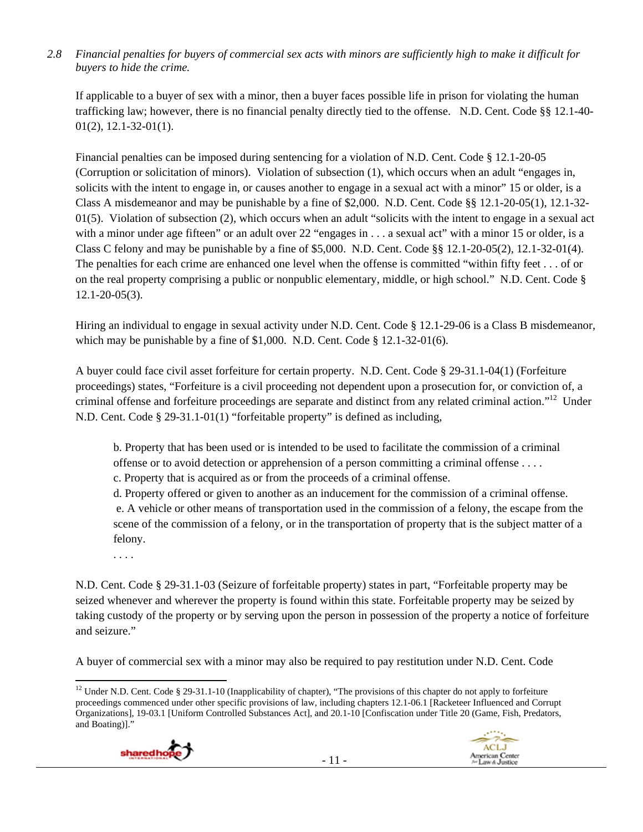## *2.8 Financial penalties for buyers of commercial sex acts with minors are sufficiently high to make it difficult for buyers to hide the crime.*

If applicable to a buyer of sex with a minor, then a buyer faces possible life in prison for violating the human trafficking law; however, there is no financial penalty directly tied to the offense. N.D. Cent. Code §§ 12.1-40- 01(2), 12.1-32-01(1).

Financial penalties can be imposed during sentencing for a violation of N.D. Cent. Code § 12.1-20-05 (Corruption or solicitation of minors). Violation of subsection (1), which occurs when an adult "engages in, solicits with the intent to engage in, or causes another to engage in a sexual act with a minor" 15 or older, is a Class A misdemeanor and may be punishable by a fine of \$2,000. N.D. Cent. Code §§ 12.1-20-05(1), 12.1-32-  $01(5)$ . Violation of subsection (2), which occurs when an adult "solicits with the intent to engage in a sexual act with a minor under age fifteen" or an adult over 22 "engages in . . . a sexual act" with a minor 15 or older, is a Class C felony and may be punishable by a fine of  $$5,000$ . N.D. Cent. Code  $§$ § 12.1-20-05(2), 12.1-32-01(4). The penalties for each crime are enhanced one level when the offense is committed "within fifty feet . . . of or on the real property comprising a public or nonpublic elementary, middle, or high school." N.D. Cent. Code § 12.1-20-05(3).

Hiring an individual to engage in sexual activity under N.D. Cent. Code § 12.1-29-06 is a Class B misdemeanor, which may be punishable by a fine of \$1,000. N.D. Cent. Code § 12.1-32-01(6).

A buyer could face civil asset forfeiture for certain property. N.D. Cent. Code § 29-31.1-04(1) (Forfeiture proceedings) states, "Forfeiture is a civil proceeding not dependent upon a prosecution for, or conviction of, a criminal offense and forfeiture proceedings are separate and distinct from any related criminal action."12 Under N.D. Cent. Code § 29-31.1-01(1) "forfeitable property" is defined as including,

b. Property that has been used or is intended to be used to facilitate the commission of a criminal offense or to avoid detection or apprehension of a person committing a criminal offense . . . .

c. Property that is acquired as or from the proceeds of a criminal offense.

d. Property offered or given to another as an inducement for the commission of a criminal offense. e. A vehicle or other means of transportation used in the commission of a felony, the escape from the scene of the commission of a felony, or in the transportation of property that is the subject matter of a felony.

. . . .

N.D. Cent. Code § 29-31.1-03 (Seizure of forfeitable property) states in part, "Forfeitable property may be seized whenever and wherever the property is found within this state. Forfeitable property may be seized by taking custody of the property or by serving upon the person in possession of the property a notice of forfeiture and seizure."

A buyer of commercial sex with a minor may also be required to pay restitution under N.D. Cent. Code

 <sup>12</sup> Under N.D. Cent. Code § 29-31.1-10 (Inapplicability of chapter), "The provisions of this chapter do not apply to forfeiture proceedings commenced under other specific provisions of law, including chapters 12.1-06.1 [Racketeer Influenced and Corrupt Organizations], 19-03.1 [Uniform Controlled Substances Act], and 20.1-10 [Confiscation under Title 20 (Game, Fish, Predators, and Boating)]."



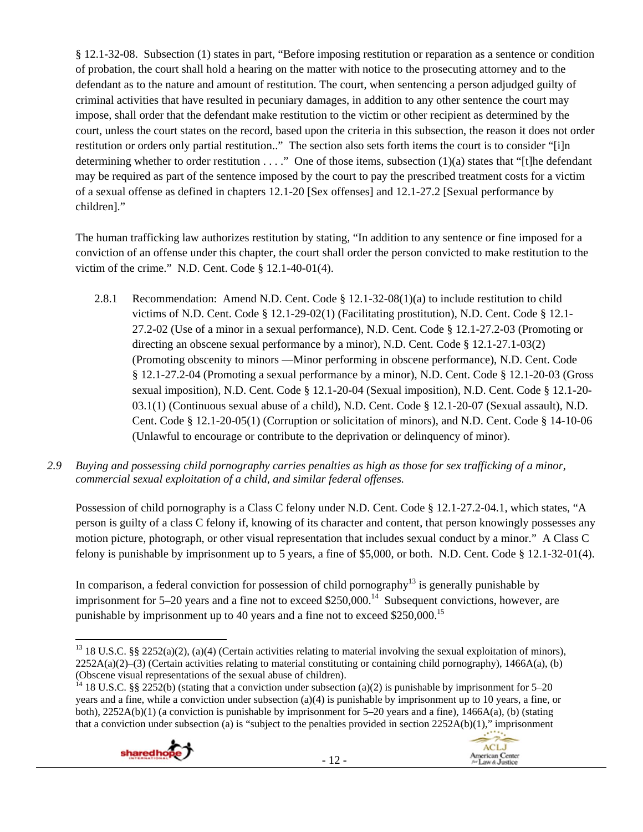§ 12.1-32-08. Subsection (1) states in part, "Before imposing restitution or reparation as a sentence or condition of probation, the court shall hold a hearing on the matter with notice to the prosecuting attorney and to the defendant as to the nature and amount of restitution. The court, when sentencing a person adjudged guilty of criminal activities that have resulted in pecuniary damages, in addition to any other sentence the court may impose, shall order that the defendant make restitution to the victim or other recipient as determined by the court, unless the court states on the record, based upon the criteria in this subsection, the reason it does not order restitution or orders only partial restitution.." The section also sets forth items the court is to consider "[i]n determining whether to order restitution . . . ." One of those items, subsection (1)(a) states that "[t]he defendant may be required as part of the sentence imposed by the court to pay the prescribed treatment costs for a victim of a sexual offense as defined in chapters 12.1-20 [Sex offenses] and 12.1-27.2 [Sexual performance by children]."

The human trafficking law authorizes restitution by stating, "In addition to any sentence or fine imposed for a conviction of an offense under this chapter, the court shall order the person convicted to make restitution to the victim of the crime." N.D. Cent. Code § 12.1-40-01(4).

- 2.8.1 Recommendation: Amend N.D. Cent. Code  $\S$  12.1-32-08(1)(a) to include restitution to child victims of N.D. Cent. Code § 12.1-29-02(1) (Facilitating prostitution), N.D. Cent. Code § 12.1- 27.2-02 (Use of a minor in a sexual performance), N.D. Cent. Code § 12.1-27.2-03 (Promoting or directing an obscene sexual performance by a minor), N.D. Cent. Code § 12.1-27.1-03(2) (Promoting obscenity to minors —Minor performing in obscene performance), N.D. Cent. Code § 12.1-27.2-04 (Promoting a sexual performance by a minor), N.D. Cent. Code § 12.1-20-03 (Gross sexual imposition), N.D. Cent. Code § 12.1-20-04 (Sexual imposition), N.D. Cent. Code § 12.1-20- 03.1(1) (Continuous sexual abuse of a child), N.D. Cent. Code § 12.1-20-07 (Sexual assault), N.D. Cent. Code § 12.1-20-05(1) (Corruption or solicitation of minors), and N.D. Cent. Code § 14-10-06 (Unlawful to encourage or contribute to the deprivation or delinquency of minor).
- *2.9 Buying and possessing child pornography carries penalties as high as those for sex trafficking of a minor, commercial sexual exploitation of a child, and similar federal offenses.*

Possession of child pornography is a Class C felony under N.D. Cent. Code § 12.1-27.2-04.1, which states, "A person is guilty of a class C felony if, knowing of its character and content, that person knowingly possesses any motion picture, photograph, or other visual representation that includes sexual conduct by a minor." A Class C felony is punishable by imprisonment up to 5 years, a fine of \$5,000, or both. N.D. Cent. Code § 12.1-32-01(4).

In comparison, a federal conviction for possession of child pornography<sup>13</sup> is generally punishable by imprisonment for  $5-20$  years and a fine not to exceed \$250,000.<sup>14</sup> Subsequent convictions, however, are punishable by imprisonment up to 40 years and a fine not to exceed \$250,000.15

<sup>&</sup>lt;sup>14</sup> 18 U.S.C. §§ 2252(b) (stating that a conviction under subsection (a)(2) is punishable by imprisonment for 5–20 years and a fine, while a conviction under subsection (a)(4) is punishable by imprisonment up to 10 years, a fine, or both), 2252A(b)(1) (a conviction is punishable by imprisonment for 5–20 years and a fine), 1466A(a), (b) (stating that a conviction under subsection (a) is "subject to the penalties provided in section  $2252A(b)(1)$ ," imprisonment





 <sup>13</sup> 18 U.S.C. §§ 2252(a)(2), (a)(4) (Certain activities relating to material involving the sexual exploitation of minors),  $2252A(a)(2)$ –(3) (Certain activities relating to material constituting or containing child pornography), 1466A(a), (b) (Obscene visual representations of the sexual abuse of children).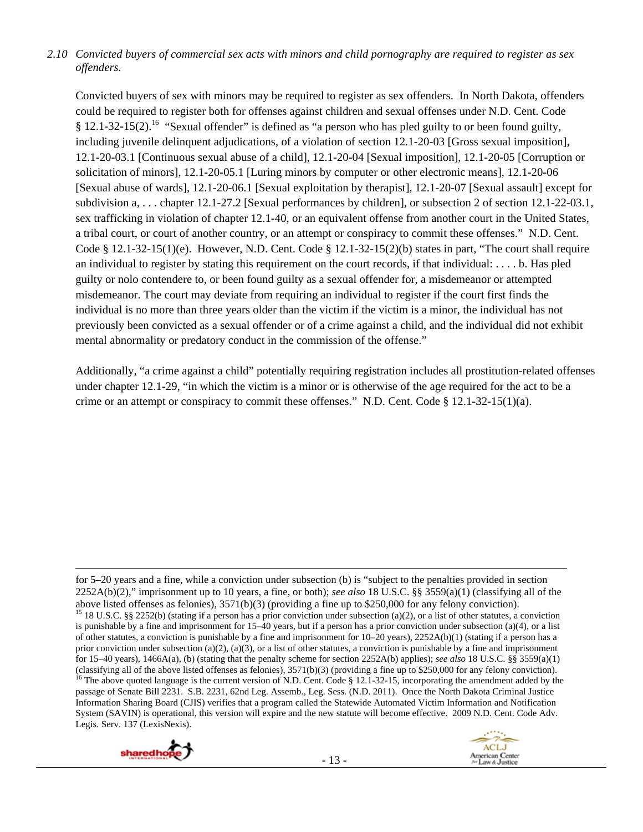## *2.10 Convicted buyers of commercial sex acts with minors and child pornography are required to register as sex offenders.*

Convicted buyers of sex with minors may be required to register as sex offenders. In North Dakota, offenders could be required to register both for offenses against children and sexual offenses under N.D. Cent. Code  $§$  12.1-32-15(2).<sup>16</sup> "Sexual offender" is defined as "a person who has pled guilty to or been found guilty, including juvenile delinquent adjudications, of a violation of section 12.1-20-03 [Gross sexual imposition], 12.1-20-03.1 [Continuous sexual abuse of a child], 12.1-20-04 [Sexual imposition], 12.1-20-05 [Corruption or solicitation of minors], 12.1-20-05.1 [Luring minors by computer or other electronic means], 12.1-20-06 [Sexual abuse of wards], 12.1-20-06.1 [Sexual exploitation by therapist], 12.1-20-07 [Sexual assault] except for subdivision a, . . . chapter 12.1-27.2 [Sexual performances by children], or subsection 2 of section 12.1-22-03.1, sex trafficking in violation of chapter 12.1-40, or an equivalent offense from another court in the United States, a tribal court, or court of another country, or an attempt or conspiracy to commit these offenses." N.D. Cent. Code § 12.1-32-15(1)(e). However, N.D. Cent. Code § 12.1-32-15(2)(b) states in part, "The court shall require an individual to register by stating this requirement on the court records, if that individual: . . . . b. Has pled guilty or nolo contendere to, or been found guilty as a sexual offender for, a misdemeanor or attempted misdemeanor. The court may deviate from requiring an individual to register if the court first finds the individual is no more than three years older than the victim if the victim is a minor, the individual has not previously been convicted as a sexual offender or of a crime against a child, and the individual did not exhibit mental abnormality or predatory conduct in the commission of the offense."

Additionally, "a crime against a child" potentially requiring registration includes all prostitution-related offenses under chapter 12.1-29, "in which the victim is a minor or is otherwise of the age required for the act to be a crime or an attempt or conspiracy to commit these offenses." N.D. Cent. Code  $\S 12.1-32-15(1)(a)$ .

<u> Andrewski politika (za obrazu pod predsjednika u predsjednika u predsjednika u predsjednika (za obrazu pod p</u>





for 5–20 years and a fine, while a conviction under subsection (b) is "subject to the penalties provided in section 2252A(b)(2)," imprisonment up to 10 years, a fine, or both); *see also* 18 U.S.C. §§ 3559(a)(1) (classifying all of the above listed offenses as felonies), 3571(b)(3) (providing a fine up to \$250,000 for any felony conviction). <sup>15</sup> 18 U.S.C. §§ 2252(b) (stating if a person has a prior conviction under subsection (a)(2), or a list of other statutes, a conviction is punishable by a fine and imprisonment for 15–40 years, but if a person has a prior conviction under subsection (a)(4), or a list of other statutes, a conviction is punishable by a fine and imprisonment for  $10-20$  years),  $2252A(b)(1)$  (stating if a person has a prior conviction under subsection (a)(2), (a)(3), or a list of other statutes, a conviction is punishable by a fine and imprisonment for 15–40 years), 1466A(a), (b) (stating that the penalty scheme for section 2252A(b) applies); *see also* 18 U.S.C. §§ 3559(a)(1) (classifying all of the above listed offenses as felonies),  $3571(b)(3)$  (providing a fine up to \$250,000 for any felony conviction).<br><sup>16</sup> The above quoted language is the current version of N.D. Cent. Code § 12.1-32-15, in passage of Senate Bill 2231. S.B. 2231, 62nd Leg. Assemb., Leg. Sess. (N.D. 2011). Once the North Dakota Criminal Justice Information Sharing Board (CJIS) verifies that a program called the Statewide Automated Victim Information and Notification System (SAVIN) is operational, this version will expire and the new statute will become effective. 2009 N.D. Cent. Code Adv. Legis. Serv. 137 (LexisNexis).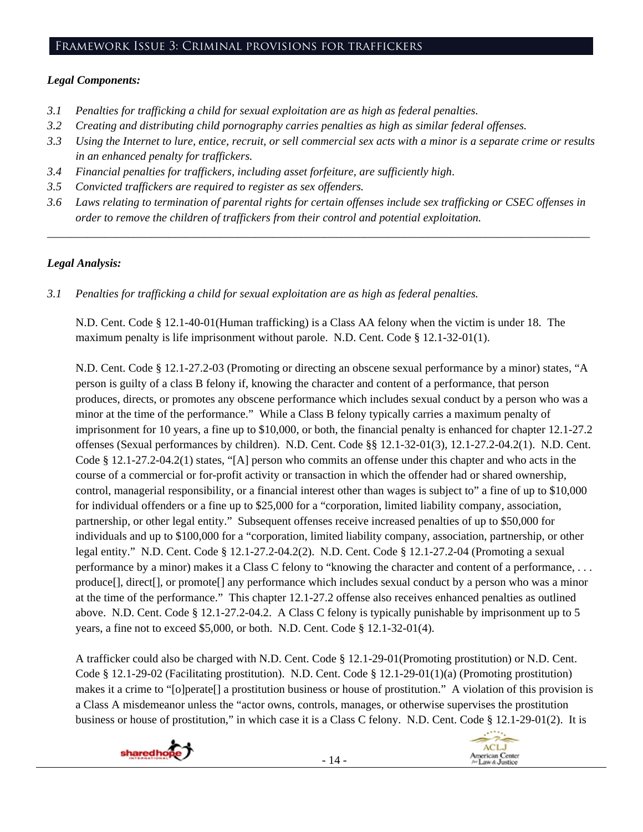## Framework Issue 3: Criminal provisions for traffickers

## *Legal Components:*

- *3.1 Penalties for trafficking a child for sexual exploitation are as high as federal penalties.*
- *3.2 Creating and distributing child pornography carries penalties as high as similar federal offenses.*
- *3.3 Using the Internet to lure, entice, recruit, or sell commercial sex acts with a minor is a separate crime or results in an enhanced penalty for traffickers.*
- *3.4 Financial penalties for traffickers, including asset forfeiture, are sufficiently high*.
- *3.5 Convicted traffickers are required to register as sex offenders.*
- *3.6 Laws relating to termination of parental rights for certain offenses include sex trafficking or CSEC offenses in order to remove the children of traffickers from their control and potential exploitation.*

*\_\_\_\_\_\_\_\_\_\_\_\_\_\_\_\_\_\_\_\_\_\_\_\_\_\_\_\_\_\_\_\_\_\_\_\_\_\_\_\_\_\_\_\_\_\_\_\_\_\_\_\_\_\_\_\_\_\_\_\_\_\_\_\_\_\_\_\_\_\_\_\_\_\_\_\_\_\_\_\_\_\_\_\_\_\_\_\_\_\_\_\_\_\_* 

## *Legal Analysis:*

*3.1 Penalties for trafficking a child for sexual exploitation are as high as federal penalties.* 

N.D. Cent. Code § 12.1-40-01(Human trafficking) is a Class AA felony when the victim is under 18. The maximum penalty is life imprisonment without parole. N.D. Cent. Code § 12.1-32-01(1).

N.D. Cent. Code § 12.1-27.2-03 (Promoting or directing an obscene sexual performance by a minor) states, "A person is guilty of a class B felony if, knowing the character and content of a performance, that person produces, directs, or promotes any obscene performance which includes sexual conduct by a person who was a minor at the time of the performance." While a Class B felony typically carries a maximum penalty of imprisonment for 10 years, a fine up to \$10,000, or both, the financial penalty is enhanced for chapter 12.1-27.2 offenses (Sexual performances by children). N.D. Cent. Code §§ 12.1-32-01(3), 12.1-27.2-04.2(1). N.D. Cent. Code § 12.1-27.2-04.2(1) states, "[A] person who commits an offense under this chapter and who acts in the course of a commercial or for-profit activity or transaction in which the offender had or shared ownership, control, managerial responsibility, or a financial interest other than wages is subject to" a fine of up to \$10,000 for individual offenders or a fine up to \$25,000 for a "corporation, limited liability company, association, partnership, or other legal entity." Subsequent offenses receive increased penalties of up to \$50,000 for individuals and up to \$100,000 for a "corporation, limited liability company, association, partnership, or other legal entity." N.D. Cent. Code § 12.1-27.2-04.2(2). N.D. Cent. Code § 12.1-27.2-04 (Promoting a sexual performance by a minor) makes it a Class C felony to "knowing the character and content of a performance, . . . produce[], direct[], or promote[] any performance which includes sexual conduct by a person who was a minor at the time of the performance." This chapter 12.1-27.2 offense also receives enhanced penalties as outlined above. N.D. Cent. Code § 12.1-27.2-04.2. A Class C felony is typically punishable by imprisonment up to 5 years, a fine not to exceed \$5,000, or both. N.D. Cent. Code § 12.1-32-01(4).

A trafficker could also be charged with N.D. Cent. Code § 12.1-29-01(Promoting prostitution) or N.D. Cent. Code § 12.1-29-02 (Facilitating prostitution). N.D. Cent. Code § 12.1-29-01(1)(a) (Promoting prostitution) makes it a crime to "[o]perate[] a prostitution business or house of prostitution." A violation of this provision is a Class A misdemeanor unless the "actor owns, controls, manages, or otherwise supervises the prostitution business or house of prostitution," in which case it is a Class C felony. N.D. Cent. Code § 12.1-29-01(2). It is



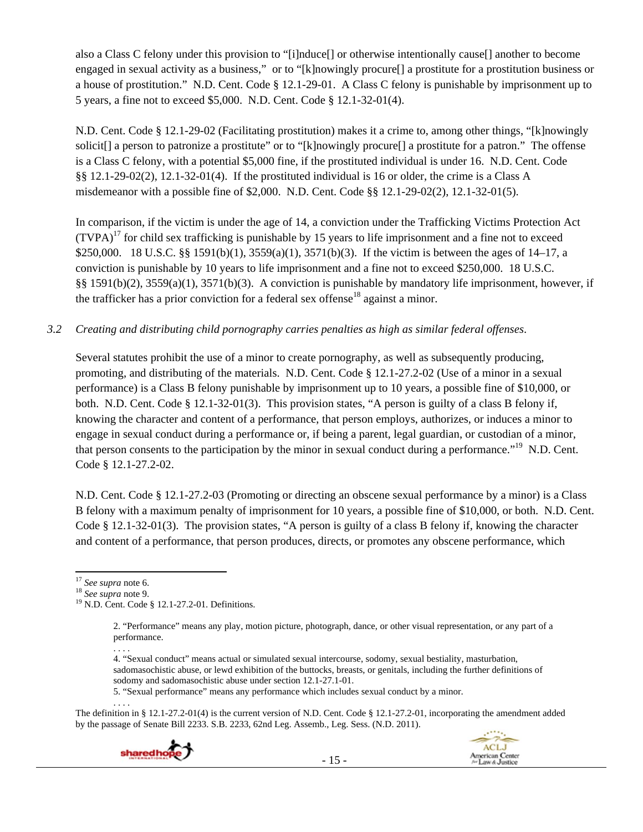also a Class C felony under this provision to "[i]nduce[] or otherwise intentionally cause[] another to become engaged in sexual activity as a business," or to "[k]nowingly procure[] a prostitute for a prostitution business or a house of prostitution." N.D. Cent. Code § 12.1-29-01. A Class C felony is punishable by imprisonment up to 5 years, a fine not to exceed \$5,000. N.D. Cent. Code § 12.1-32-01(4).

N.D. Cent. Code § 12.1-29-02 (Facilitating prostitution) makes it a crime to, among other things, "[k]nowingly solicit[] a person to patronize a prostitute" or to "[k]nowingly procure[] a prostitute for a patron." The offense is a Class C felony, with a potential \$5,000 fine, if the prostituted individual is under 16. N.D. Cent. Code §§ 12.1-29-02(2), 12.1-32-01(4). If the prostituted individual is 16 or older, the crime is a Class A misdemeanor with a possible fine of \$2,000. N.D. Cent. Code §§ 12.1-29-02(2), 12.1-32-01(5).

In comparison, if the victim is under the age of 14, a conviction under the Trafficking Victims Protection Act  $(TVPA)<sup>17</sup>$  for child sex trafficking is punishable by 15 years to life imprisonment and a fine not to exceed \$250,000. 18 U.S.C. §§ 1591(b)(1), 3559(a)(1), 3571(b)(3). If the victim is between the ages of 14–17, a conviction is punishable by 10 years to life imprisonment and a fine not to exceed \$250,000. 18 U.S.C. §§ 1591(b)(2), 3559(a)(1), 3571(b)(3). A conviction is punishable by mandatory life imprisonment, however, if the trafficker has a prior conviction for a federal sex offense<sup>18</sup> against a minor.

*3.2 Creating and distributing child pornography carries penalties as high as similar federal offenses*.

Several statutes prohibit the use of a minor to create pornography, as well as subsequently producing, promoting, and distributing of the materials. N.D. Cent. Code § 12.1-27.2-02 (Use of a minor in a sexual performance) is a Class B felony punishable by imprisonment up to 10 years, a possible fine of \$10,000, or both. N.D. Cent. Code § 12.1-32-01(3). This provision states, "A person is guilty of a class B felony if, knowing the character and content of a performance, that person employs, authorizes, or induces a minor to engage in sexual conduct during a performance or, if being a parent, legal guardian, or custodian of a minor, that person consents to the participation by the minor in sexual conduct during a performance."<sup>19</sup> N.D. Cent. Code § 12.1-27.2-02.

N.D. Cent. Code § 12.1-27.2-03 (Promoting or directing an obscene sexual performance by a minor) is a Class B felony with a maximum penalty of imprisonment for 10 years, a possible fine of \$10,000, or both. N.D. Cent. Code § 12.1-32-01(3). The provision states, "A person is guilty of a class B felony if, knowing the character and content of a performance, that person produces, directs, or promotes any obscene performance, which

5. "Sexual performance" means any performance which includes sexual conduct by a minor.

. . . . The definition in § 12.1-27.2-01(4) is the current version of N.D. Cent. Code § 12.1-27.2-01, incorporating the amendment added by the passage of Senate Bill 2233. S.B. 2233, 62nd Leg. Assemb., Leg. Sess. (N.D. 2011).





<sup>&</sup>lt;sup>17</sup> *See supra* note 6.<br><sup>18</sup> *See supra* note 9.<br><sup>19</sup> N.D. Cent. Code § 12.1-27.2-01. Definitions.

<sup>2. &</sup>quot;Performance" means any play, motion picture, photograph, dance, or other visual representation, or any part of a performance.

<sup>. . . .</sup>  4. "Sexual conduct" means actual or simulated sexual intercourse, sodomy, sexual bestiality, masturbation, sadomasochistic abuse, or lewd exhibition of the buttocks, breasts, or genitals, including the further definitions of sodomy and sadomasochistic abuse under section 12.1-27.1-01.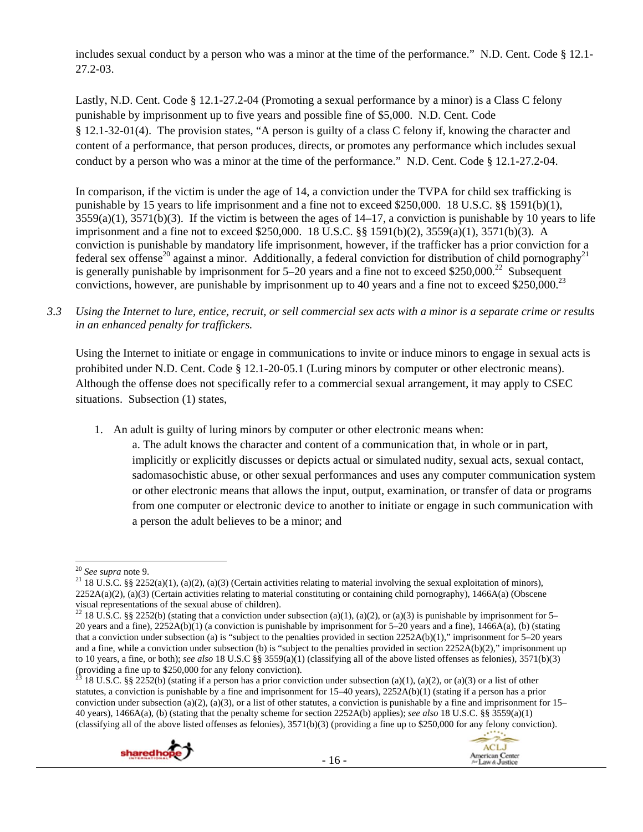includes sexual conduct by a person who was a minor at the time of the performance." N.D. Cent. Code § 12.1- 27.2-03.

Lastly, N.D. Cent. Code § 12.1-27.2-04 (Promoting a sexual performance by a minor) is a Class C felony punishable by imprisonment up to five years and possible fine of \$5,000. N.D. Cent. Code § 12.1-32-01(4). The provision states, "A person is guilty of a class C felony if, knowing the character and content of a performance, that person produces, directs, or promotes any performance which includes sexual conduct by a person who was a minor at the time of the performance." N.D. Cent. Code § 12.1-27.2-04.

In comparison, if the victim is under the age of 14, a conviction under the TVPA for child sex trafficking is punishable by 15 years to life imprisonment and a fine not to exceed \$250,000. 18 U.S.C. §§ 1591(b)(1),  $3559(a)(1)$ ,  $3571(b)(3)$ . If the victim is between the ages of  $14-17$ , a conviction is punishable by 10 years to life imprisonment and a fine not to exceed \$250,000. 18 U.S.C. §§ 1591(b)(2), 3559(a)(1), 3571(b)(3). A conviction is punishable by mandatory life imprisonment, however, if the trafficker has a prior conviction for a federal sex offense<sup>20</sup> against a minor. Additionally, a federal conviction for distribution of child pornography<sup>21</sup> is generally punishable by imprisonment for  $5-20$  years and a fine not to exceed \$250,000.<sup>22</sup> Subsequent convictions, however, are punishable by imprisonment up to 40 years and a fine not to exceed  $$250,000.<sup>23</sup>$ 

*3.3 Using the Internet to lure, entice, recruit, or sell commercial sex acts with a minor is a separate crime or results in an enhanced penalty for traffickers.* 

Using the Internet to initiate or engage in communications to invite or induce minors to engage in sexual acts is prohibited under N.D. Cent. Code § 12.1-20-05.1 (Luring minors by computer or other electronic means). Although the offense does not specifically refer to a commercial sexual arrangement, it may apply to CSEC situations. Subsection (1) states,

1. An adult is guilty of luring minors by computer or other electronic means when:

a. The adult knows the character and content of a communication that, in whole or in part, implicitly or explicitly discusses or depicts actual or simulated nudity, sexual acts, sexual contact, sadomasochistic abuse, or other sexual performances and uses any computer communication system or other electronic means that allows the input, output, examination, or transfer of data or programs from one computer or electronic device to another to initiate or engage in such communication with a person the adult believes to be a minor; and

<sup>&</sup>lt;sup>23</sup> 18 U.S.C. §§ 2252(b) (stating if a person has a prior conviction under subsection (a)(1), (a)(2), or (a)(3) or a list of other statutes, a conviction is punishable by a fine and imprisonment for 15–40 years), 2252A(b)(1) (stating if a person has a prior conviction under subsection (a)(2), (a)(3), or a list of other statutes, a conviction is punishable by a fine and imprisonment for  $15-$ 40 years), 1466A(a), (b) (stating that the penalty scheme for section 2252A(b) applies); *see also* 18 U.S.C. §§ 3559(a)(1) (classifying all of the above listed offenses as felonies),  $3571(b)(3)$  (providing a fine up to \$250,000 for any felony conviction).





<sup>&</sup>lt;sup>20</sup> *See supra* note 9.<br><sup>21</sup> 18 U.S.C. §§ 2252(a)(1), (a)(2), (a)(3) (Certain activities relating to material involving the sexual exploitation of minors),  $2252A(a)(2)$ , (a)(3) (Certain activities relating to material constituting or containing child pornography), 1466A(a) (Obscene visual representations of the sexual abuse of children).

<sup>&</sup>lt;sup>22</sup> 18 U.S.C. §§ 2252(b) (stating that a conviction under subsection (a)(1), (a)(2), or (a)(3) is punishable by imprisonment for 5– 20 years and a fine), 2252A(b)(1) (a conviction is punishable by imprisonment for 5–20 years and a fine), 1466A(a), (b) (stating that a conviction under subsection (a) is "subject to the penalties provided in section  $2252A(b)(1)$ ," imprisonment for 5–20 years and a fine, while a conviction under subsection (b) is "subject to the penalties provided in section  $2252A(b)(2)$ ," imprisonment up to 10 years, a fine, or both); *see also* 18 U.S.C §§ 3559(a)(1) (classifying all of the above listed offenses as felonies), 3571(b)(3) (providing a fine up to \$250,000 for any felony conviction).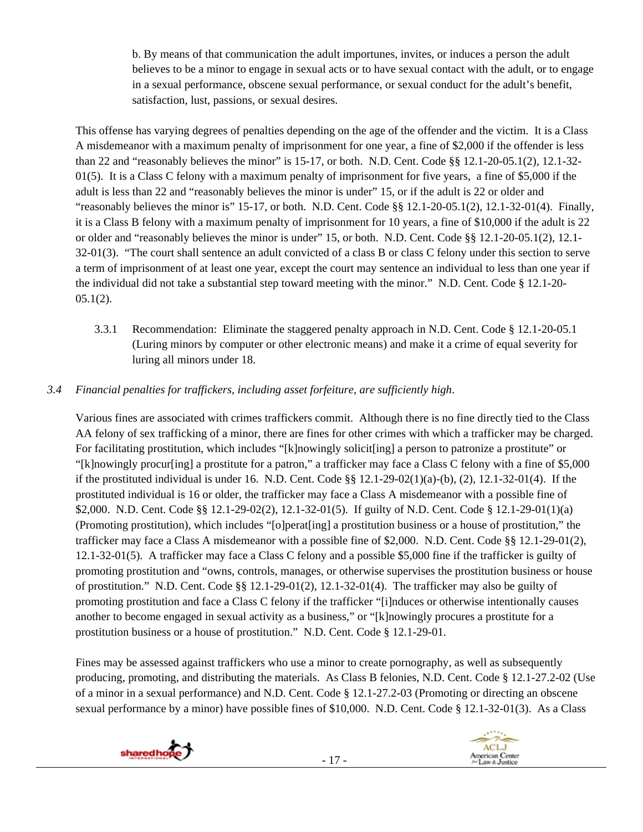b. By means of that communication the adult importunes, invites, or induces a person the adult believes to be a minor to engage in sexual acts or to have sexual contact with the adult, or to engage in a sexual performance, obscene sexual performance, or sexual conduct for the adult's benefit, satisfaction, lust, passions, or sexual desires.

This offense has varying degrees of penalties depending on the age of the offender and the victim. It is a Class A misdemeanor with a maximum penalty of imprisonment for one year, a fine of \$2,000 if the offender is less than 22 and "reasonably believes the minor" is 15-17, or both. N.D. Cent. Code §§ 12.1-20-05.1(2), 12.1-32-  $01(5)$ . It is a Class C felony with a maximum penalty of imprisonment for five years, a fine of \$5,000 if the adult is less than 22 and "reasonably believes the minor is under" 15, or if the adult is 22 or older and "reasonably believes the minor is"  $15-17$ , or both. N.D. Cent. Code §§  $12.1-20-05.1(2)$ ,  $12.1-32-01(4)$ . Finally, it is a Class B felony with a maximum penalty of imprisonment for 10 years, a fine of \$10,000 if the adult is 22 or older and "reasonably believes the minor is under" 15, or both. N.D. Cent. Code §§ 12.1-20-05.1(2), 12.1- 32-01(3). "The court shall sentence an adult convicted of a class B or class C felony under this section to serve a term of imprisonment of at least one year, except the court may sentence an individual to less than one year if the individual did not take a substantial step toward meeting with the minor." N.D. Cent. Code § 12.1-20-  $05.1(2)$ .

3.3.1 Recommendation: Eliminate the staggered penalty approach in N.D. Cent. Code § 12.1-20-05.1 (Luring minors by computer or other electronic means) and make it a crime of equal severity for luring all minors under 18.

# *3.4 Financial penalties for traffickers, including asset forfeiture, are sufficiently high*.

Various fines are associated with crimes traffickers commit. Although there is no fine directly tied to the Class AA felony of sex trafficking of a minor, there are fines for other crimes with which a trafficker may be charged. For facilitating prostitution, which includes "[k]nowingly solicit[ing] a person to patronize a prostitute" or "[k]nowingly procur[ing] a prostitute for a patron," a trafficker may face a Class C felony with a fine of \$5,000 if the prostituted individual is under 16. N.D. Cent. Code  $\S$ § 12.1-29-02(1)(a)-(b), (2), 12.1-32-01(4). If the prostituted individual is 16 or older, the trafficker may face a Class A misdemeanor with a possible fine of \$2,000. N.D. Cent. Code §§ 12.1-29-02(2), 12.1-32-01(5). If guilty of N.D. Cent. Code § 12.1-29-01(1)(a) (Promoting prostitution), which includes "[o]perat[ing] a prostitution business or a house of prostitution," the trafficker may face a Class A misdemeanor with a possible fine of \$2,000. N.D. Cent. Code §§ 12.1-29-01(2), 12.1-32-01(5). A trafficker may face a Class C felony and a possible \$5,000 fine if the trafficker is guilty of promoting prostitution and "owns, controls, manages, or otherwise supervises the prostitution business or house of prostitution." N.D. Cent. Code §§ 12.1-29-01(2), 12.1-32-01(4). The trafficker may also be guilty of promoting prostitution and face a Class C felony if the trafficker "[i]nduces or otherwise intentionally causes another to become engaged in sexual activity as a business," or "[k]nowingly procures a prostitute for a prostitution business or a house of prostitution." N.D. Cent. Code § 12.1-29-01.

Fines may be assessed against traffickers who use a minor to create pornography, as well as subsequently producing, promoting, and distributing the materials. As Class B felonies, N.D. Cent. Code § 12.1-27.2-02 (Use of a minor in a sexual performance) and N.D. Cent. Code § 12.1-27.2-03 (Promoting or directing an obscene sexual performance by a minor) have possible fines of \$10,000. N.D. Cent. Code § 12.1-32-01(3). As a Class



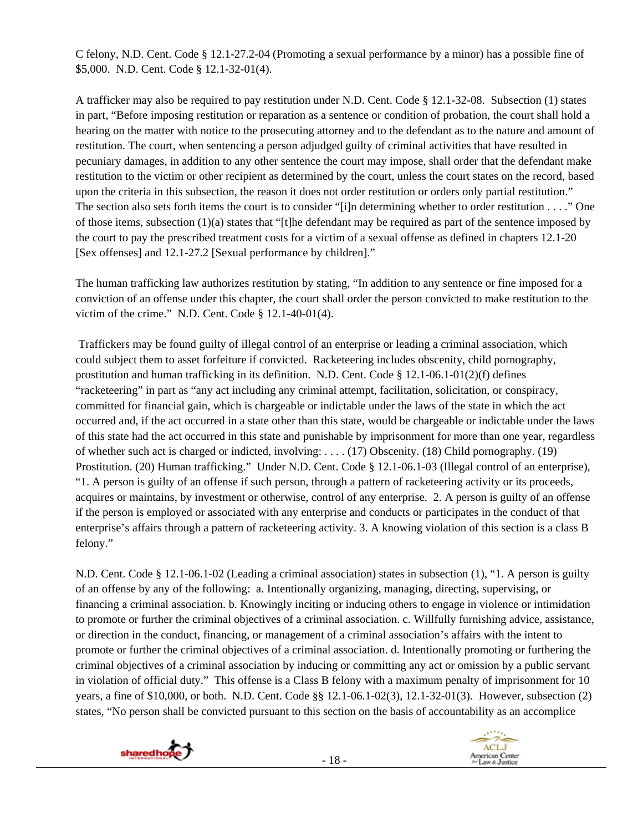C felony, N.D. Cent. Code § 12.1-27.2-04 (Promoting a sexual performance by a minor) has a possible fine of \$5,000. N.D. Cent. Code § 12.1-32-01(4).

A trafficker may also be required to pay restitution under N.D. Cent. Code § 12.1-32-08. Subsection (1) states in part, "Before imposing restitution or reparation as a sentence or condition of probation, the court shall hold a hearing on the matter with notice to the prosecuting attorney and to the defendant as to the nature and amount of restitution. The court, when sentencing a person adjudged guilty of criminal activities that have resulted in pecuniary damages, in addition to any other sentence the court may impose, shall order that the defendant make restitution to the victim or other recipient as determined by the court, unless the court states on the record, based upon the criteria in this subsection, the reason it does not order restitution or orders only partial restitution." The section also sets forth items the court is to consider "[i]n determining whether to order restitution . . . ." One of those items, subsection (1)(a) states that "[t]he defendant may be required as part of the sentence imposed by the court to pay the prescribed treatment costs for a victim of a sexual offense as defined in chapters 12.1-20 [Sex offenses] and 12.1-27.2 [Sexual performance by children]."

The human trafficking law authorizes restitution by stating, "In addition to any sentence or fine imposed for a conviction of an offense under this chapter, the court shall order the person convicted to make restitution to the victim of the crime." N.D. Cent. Code § 12.1-40-01(4).

 Traffickers may be found guilty of illegal control of an enterprise or leading a criminal association, which could subject them to asset forfeiture if convicted. Racketeering includes obscenity, child pornography, prostitution and human trafficking in its definition. N.D. Cent. Code § 12.1-06.1-01(2)(f) defines "racketeering" in part as "any act including any criminal attempt, facilitation, solicitation, or conspiracy, committed for financial gain, which is chargeable or indictable under the laws of the state in which the act occurred and, if the act occurred in a state other than this state, would be chargeable or indictable under the laws of this state had the act occurred in this state and punishable by imprisonment for more than one year, regardless of whether such act is charged or indicted, involving: . . . . (17) Obscenity. (18) Child pornography. (19) Prostitution. (20) Human trafficking." Under N.D. Cent. Code § 12.1-06.1-03 (Illegal control of an enterprise), "1. A person is guilty of an offense if such person, through a pattern of racketeering activity or its proceeds, acquires or maintains, by investment or otherwise, control of any enterprise. 2. A person is guilty of an offense if the person is employed or associated with any enterprise and conducts or participates in the conduct of that enterprise's affairs through a pattern of racketeering activity. 3. A knowing violation of this section is a class B felony."

N.D. Cent. Code § 12.1-06.1-02 (Leading a criminal association) states in subsection (1), "1. A person is guilty of an offense by any of the following: a. Intentionally organizing, managing, directing, supervising, or financing a criminal association. b. Knowingly inciting or inducing others to engage in violence or intimidation to promote or further the criminal objectives of a criminal association. c. Willfully furnishing advice, assistance, or direction in the conduct, financing, or management of a criminal association's affairs with the intent to promote or further the criminal objectives of a criminal association. d. Intentionally promoting or furthering the criminal objectives of a criminal association by inducing or committing any act or omission by a public servant in violation of official duty." This offense is a Class B felony with a maximum penalty of imprisonment for 10 years, a fine of \$10,000, or both. N.D. Cent. Code §§ 12.1-06.1-02(3), 12.1-32-01(3). However, subsection (2) states, "No person shall be convicted pursuant to this section on the basis of accountability as an accomplice



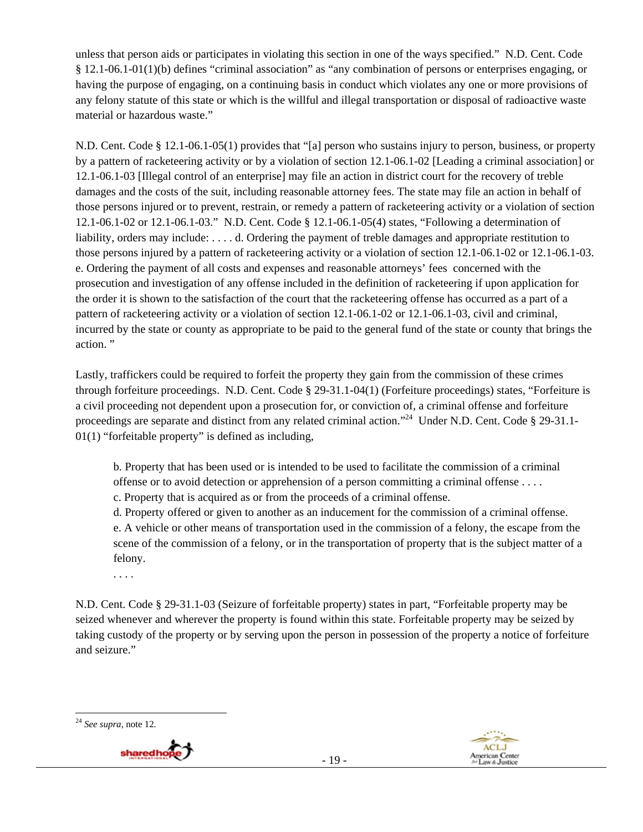unless that person aids or participates in violating this section in one of the ways specified." N.D. Cent. Code § 12.1-06.1-01(1)(b) defines "criminal association" as "any combination of persons or enterprises engaging, or having the purpose of engaging, on a continuing basis in conduct which violates any one or more provisions of any felony statute of this state or which is the willful and illegal transportation or disposal of radioactive waste material or hazardous waste."

N.D. Cent. Code § 12.1-06.1-05(1) provides that "[a] person who sustains injury to person, business, or property by a pattern of racketeering activity or by a violation of section 12.1-06.1-02 [Leading a criminal association] or 12.1-06.1-03 [Illegal control of an enterprise] may file an action in district court for the recovery of treble damages and the costs of the suit, including reasonable attorney fees. The state may file an action in behalf of those persons injured or to prevent, restrain, or remedy a pattern of racketeering activity or a violation of section 12.1-06.1-02 or 12.1-06.1-03." N.D. Cent. Code § 12.1-06.1-05(4) states, "Following a determination of liability, orders may include: . . . . d. Ordering the payment of treble damages and appropriate restitution to those persons injured by a pattern of racketeering activity or a violation of section 12.1-06.1-02 or 12.1-06.1-03. e. Ordering the payment of all costs and expenses and reasonable attorneys' fees concerned with the prosecution and investigation of any offense included in the definition of racketeering if upon application for the order it is shown to the satisfaction of the court that the racketeering offense has occurred as a part of a pattern of racketeering activity or a violation of section 12.1-06.1-02 or 12.1-06.1-03, civil and criminal, incurred by the state or county as appropriate to be paid to the general fund of the state or county that brings the action. "

Lastly, traffickers could be required to forfeit the property they gain from the commission of these crimes through forfeiture proceedings. N.D. Cent. Code § 29-31.1-04(1) (Forfeiture proceedings) states, "Forfeiture is a civil proceeding not dependent upon a prosecution for, or conviction of, a criminal offense and forfeiture proceedings are separate and distinct from any related criminal action."24 Under N.D. Cent. Code § 29-31.1- 01(1) "forfeitable property" is defined as including,

b. Property that has been used or is intended to be used to facilitate the commission of a criminal offense or to avoid detection or apprehension of a person committing a criminal offense . . . . c. Property that is acquired as or from the proceeds of a criminal offense.

d. Property offered or given to another as an inducement for the commission of a criminal offense.

e. A vehicle or other means of transportation used in the commission of a felony, the escape from the scene of the commission of a felony, or in the transportation of property that is the subject matter of a felony.

. . . .

N.D. Cent. Code § 29-31.1-03 (Seizure of forfeitable property) states in part, "Forfeitable property may be seized whenever and wherever the property is found within this state. Forfeitable property may be seized by taking custody of the property or by serving upon the person in possession of the property a notice of forfeiture and seizure."

 <sup>24</sup> *See supra*, note 12*.*



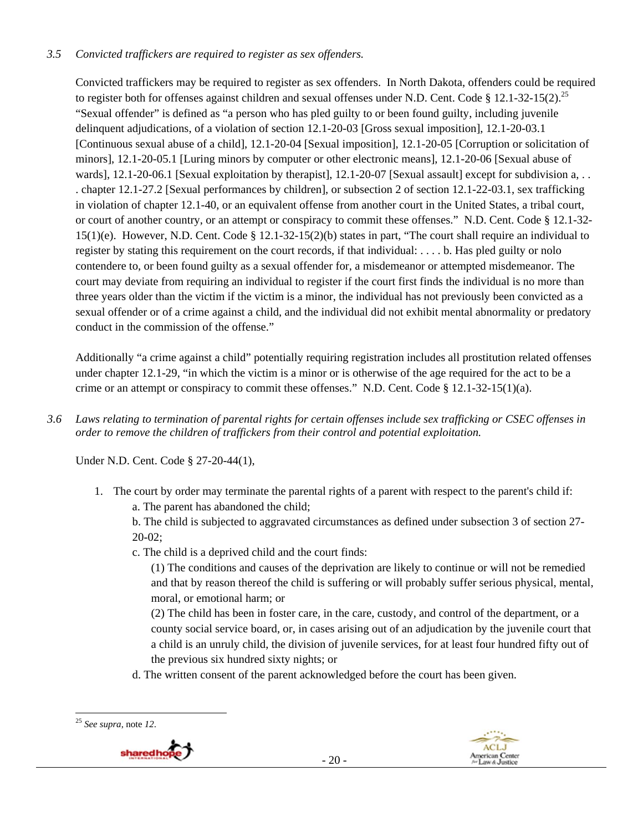## *3.5 Convicted traffickers are required to register as sex offenders.*

Convicted traffickers may be required to register as sex offenders. In North Dakota, offenders could be required to register both for offenses against children and sexual offenses under N.D. Cent. Code  $\S 12.1-32-15(2).^{25}$ "Sexual offender" is defined as "a person who has pled guilty to or been found guilty, including juvenile delinquent adjudications, of a violation of section 12.1-20-03 [Gross sexual imposition], 12.1-20-03.1 [Continuous sexual abuse of a child], 12.1-20-04 [Sexual imposition], 12.1-20-05 [Corruption or solicitation of minors], 12.1-20-05.1 [Luring minors by computer or other electronic means], 12.1-20-06 [Sexual abuse of wards], 12.1-20-06.1 [Sexual exploitation by therapist], 12.1-20-07 [Sexual assault] except for subdivision a, .. . chapter 12.1-27.2 [Sexual performances by children], or subsection 2 of section 12.1-22-03.1, sex trafficking in violation of chapter 12.1-40, or an equivalent offense from another court in the United States, a tribal court, or court of another country, or an attempt or conspiracy to commit these offenses." N.D. Cent. Code § 12.1-32-  $15(1)(e)$ . However, N.D. Cent. Code §  $12.1-32-15(2)(b)$  states in part, "The court shall require an individual to register by stating this requirement on the court records, if that individual: . . . . b. Has pled guilty or nolo contendere to, or been found guilty as a sexual offender for, a misdemeanor or attempted misdemeanor. The court may deviate from requiring an individual to register if the court first finds the individual is no more than three years older than the victim if the victim is a minor, the individual has not previously been convicted as a sexual offender or of a crime against a child, and the individual did not exhibit mental abnormality or predatory conduct in the commission of the offense."

Additionally "a crime against a child" potentially requiring registration includes all prostitution related offenses under chapter 12.1-29, "in which the victim is a minor or is otherwise of the age required for the act to be a crime or an attempt or conspiracy to commit these offenses." N.D. Cent. Code  $\S 12.1-32-15(1)(a)$ .

*3.6 Laws relating to termination of parental rights for certain offenses include sex trafficking or CSEC offenses in order to remove the children of traffickers from their control and potential exploitation.* 

Under N.D. Cent. Code § 27-20-44(1),

1. The court by order may terminate the parental rights of a parent with respect to the parent's child if:

a. The parent has abandoned the child;

b. The child is subjected to aggravated circumstances as defined under subsection 3 of section 27- 20-02;

c. The child is a deprived child and the court finds:

(1) The conditions and causes of the deprivation are likely to continue or will not be remedied and that by reason thereof the child is suffering or will probably suffer serious physical, mental, moral, or emotional harm; or

(2) The child has been in foster care, in the care, custody, and control of the department, or a county social service board, or, in cases arising out of an adjudication by the juvenile court that a child is an unruly child, the division of juvenile services, for at least four hundred fifty out of the previous six hundred sixty nights; or

d. The written consent of the parent acknowledged before the court has been given.

 <sup>25</sup> *See supra*, note *12*.



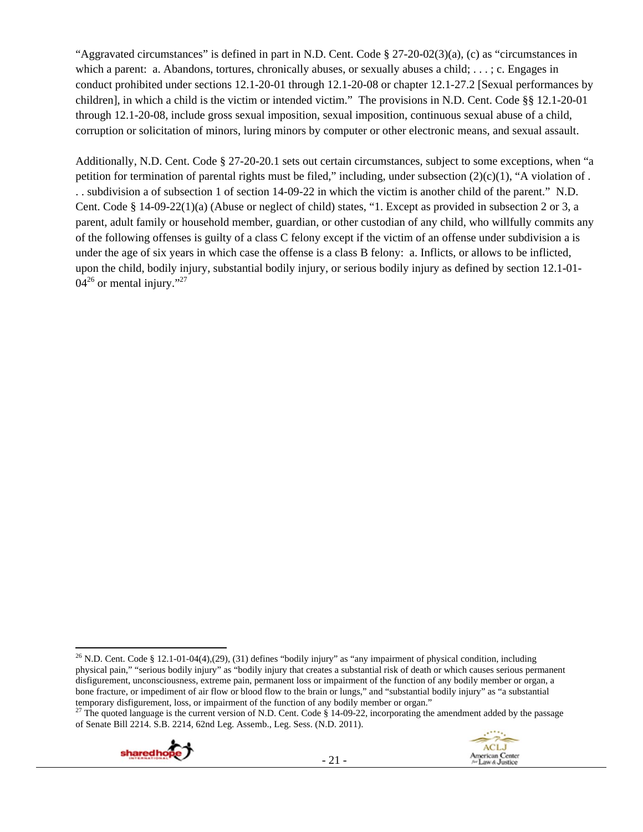"Aggravated circumstances" is defined in part in N.D. Cent. Code § 27-20-02(3)(a), (c) as "circumstances in which a parent: a. Abandons, tortures, chronically abuses, or sexually abuses a child; . . .; c. Engages in conduct prohibited under sections 12.1-20-01 through 12.1-20-08 or chapter 12.1-27.2 [Sexual performances by children], in which a child is the victim or intended victim." The provisions in N.D. Cent. Code §§ 12.1-20-01 through 12.1-20-08, include gross sexual imposition, sexual imposition, continuous sexual abuse of a child, corruption or solicitation of minors, luring minors by computer or other electronic means, and sexual assault.

Additionally, N.D. Cent. Code § 27-20-20.1 sets out certain circumstances, subject to some exceptions, when "a petition for termination of parental rights must be filed," including, under subsection  $(2)(c)(1)$ , "A violation of . . . subdivision a of subsection 1 of section 14-09-22 in which the victim is another child of the parent." N.D. Cent. Code § 14-09-22(1)(a) (Abuse or neglect of child) states, "1. Except as provided in subsection 2 or 3, a parent, adult family or household member, guardian, or other custodian of any child, who willfully commits any of the following offenses is guilty of a class C felony except if the victim of an offense under subdivision a is under the age of six years in which case the offense is a class B felony: a. Inflicts, or allows to be inflicted, upon the child, bodily injury, substantial bodily injury, or serious bodily injury as defined by section 12.1-01-  $04^{26}$  or mental injury."<sup>27</sup>

of Senate Bill 2214. S.B. 2214, 62nd Leg. Assemb., Leg. Sess. (N.D. 2011).





 <sup>26</sup> N.D. Cent. Code § 12.1-01-04(4),(29), (31) defines "bodily injury" as "any impairment of physical condition, including physical pain," "serious bodily injury" as "bodily injury that creates a substantial risk of death or which causes serious permanent disfigurement, unconsciousness, extreme pain, permanent loss or impairment of the function of any bodily member or organ, a bone fracture, or impediment of air flow or blood flow to the brain or lungs," and "substantial bodily injury" as "a substantial temporary disfigurement, loss, or impairment of the function of any bodily member or organ."<br><sup>27</sup> The quoted language is the current version of N.D. Cent. Code § 14-09-22, incorporating the amendment added by the passage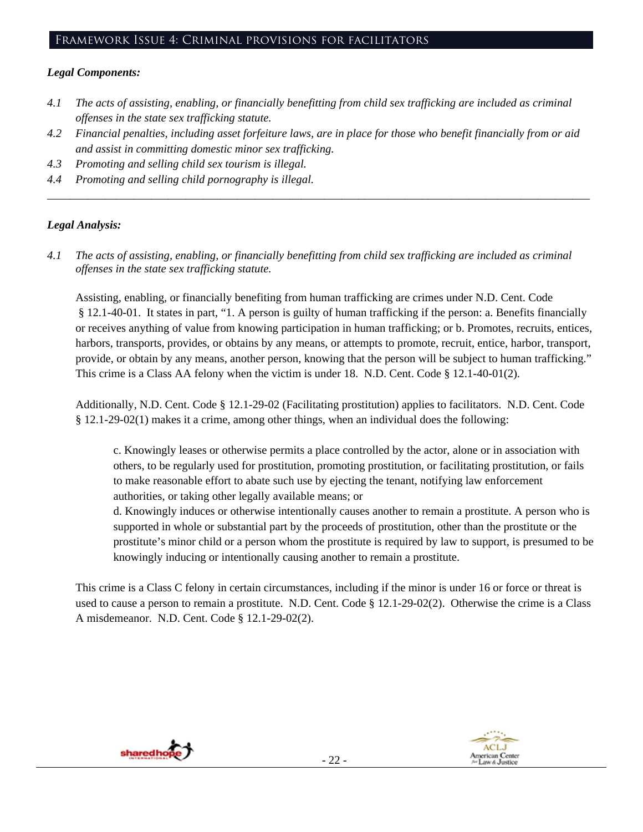# Framework Issue 4: Criminal provisions for facilitators

#### *Legal Components:*

- *4.1 The acts of assisting, enabling, or financially benefitting from child sex trafficking are included as criminal offenses in the state sex trafficking statute.*
- *4.2 Financial penalties, including asset forfeiture laws, are in place for those who benefit financially from or aid and assist in committing domestic minor sex trafficking.*

*\_\_\_\_\_\_\_\_\_\_\_\_\_\_\_\_\_\_\_\_\_\_\_\_\_\_\_\_\_\_\_\_\_\_\_\_\_\_\_\_\_\_\_\_\_\_\_\_\_\_\_\_\_\_\_\_\_\_\_\_\_\_\_\_\_\_\_\_\_\_\_\_\_\_\_\_\_\_\_\_\_\_\_\_\_\_\_\_\_\_\_\_\_\_* 

- *4.3 Promoting and selling child sex tourism is illegal.*
- *4.4 Promoting and selling child pornography is illegal.*

## *Legal Analysis:*

*4.1 The acts of assisting, enabling, or financially benefitting from child sex trafficking are included as criminal offenses in the state sex trafficking statute.*

Assisting, enabling, or financially benefiting from human trafficking are crimes under N.D. Cent. Code § 12.1-40-01. It states in part, "1. A person is guilty of human trafficking if the person: a. Benefits financially or receives anything of value from knowing participation in human trafficking; or b. Promotes, recruits, entices, harbors, transports, provides, or obtains by any means, or attempts to promote, recruit, entice, harbor, transport, provide, or obtain by any means, another person, knowing that the person will be subject to human trafficking." This crime is a Class AA felony when the victim is under 18. N.D. Cent. Code § 12.1-40-01(2).

Additionally, N.D. Cent. Code § 12.1-29-02 (Facilitating prostitution) applies to facilitators. N.D. Cent. Code § 12.1-29-02(1) makes it a crime, among other things, when an individual does the following:

c. Knowingly leases or otherwise permits a place controlled by the actor, alone or in association with others, to be regularly used for prostitution, promoting prostitution, or facilitating prostitution, or fails to make reasonable effort to abate such use by ejecting the tenant, notifying law enforcement authorities, or taking other legally available means; or

d. Knowingly induces or otherwise intentionally causes another to remain a prostitute. A person who is supported in whole or substantial part by the proceeds of prostitution, other than the prostitute or the prostitute's minor child or a person whom the prostitute is required by law to support, is presumed to be knowingly inducing or intentionally causing another to remain a prostitute.

This crime is a Class C felony in certain circumstances, including if the minor is under 16 or force or threat is used to cause a person to remain a prostitute. N.D. Cent. Code § 12.1-29-02(2). Otherwise the crime is a Class A misdemeanor. N.D. Cent. Code § 12.1-29-02(2).

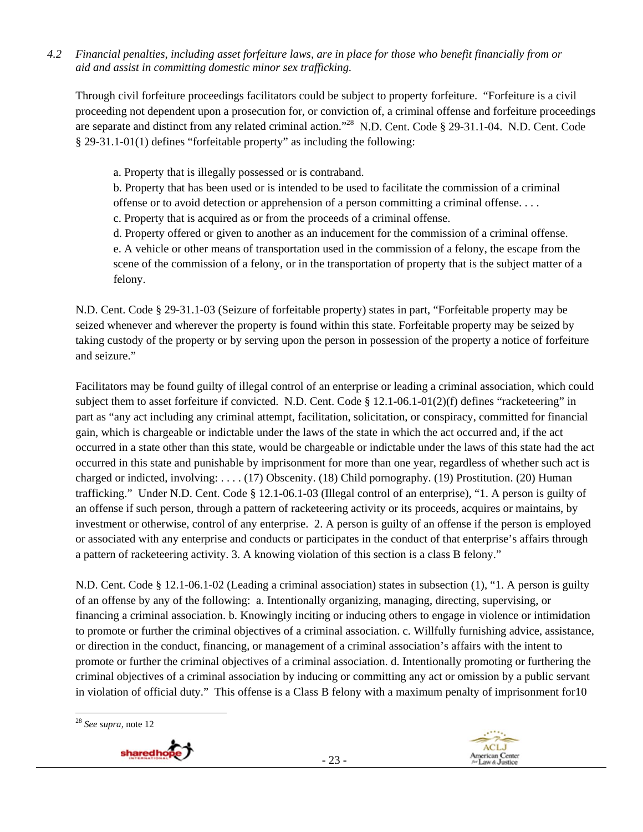*4.2 Financial penalties, including asset forfeiture laws, are in place for those who benefit financially from or aid and assist in committing domestic minor sex trafficking.* 

Through civil forfeiture proceedings facilitators could be subject to property forfeiture. "Forfeiture is a civil proceeding not dependent upon a prosecution for, or conviction of, a criminal offense and forfeiture proceedings are separate and distinct from any related criminal action."28 N.D. Cent. Code § 29-31.1-04. N.D. Cent. Code § 29-31.1-01(1) defines "forfeitable property" as including the following:

- a. Property that is illegally possessed or is contraband.
- b. Property that has been used or is intended to be used to facilitate the commission of a criminal offense or to avoid detection or apprehension of a person committing a criminal offense. . . .
- c. Property that is acquired as or from the proceeds of a criminal offense.
- d. Property offered or given to another as an inducement for the commission of a criminal offense.

e. A vehicle or other means of transportation used in the commission of a felony, the escape from the scene of the commission of a felony, or in the transportation of property that is the subject matter of a felony.

N.D. Cent. Code § 29-31.1-03 (Seizure of forfeitable property) states in part, "Forfeitable property may be seized whenever and wherever the property is found within this state. Forfeitable property may be seized by taking custody of the property or by serving upon the person in possession of the property a notice of forfeiture and seizure."

Facilitators may be found guilty of illegal control of an enterprise or leading a criminal association, which could subject them to asset forfeiture if convicted. N.D. Cent. Code § 12.1-06.1-01(2)(f) defines "racketeering" in part as "any act including any criminal attempt, facilitation, solicitation, or conspiracy, committed for financial gain, which is chargeable or indictable under the laws of the state in which the act occurred and, if the act occurred in a state other than this state, would be chargeable or indictable under the laws of this state had the act occurred in this state and punishable by imprisonment for more than one year, regardless of whether such act is charged or indicted, involving: . . . . (17) Obscenity. (18) Child pornography. (19) Prostitution. (20) Human trafficking." Under N.D. Cent. Code § 12.1-06.1-03 (Illegal control of an enterprise), "1. A person is guilty of an offense if such person, through a pattern of racketeering activity or its proceeds, acquires or maintains, by investment or otherwise, control of any enterprise. 2. A person is guilty of an offense if the person is employed or associated with any enterprise and conducts or participates in the conduct of that enterprise's affairs through a pattern of racketeering activity. 3. A knowing violation of this section is a class B felony."

N.D. Cent. Code § 12.1-06.1-02 (Leading a criminal association) states in subsection (1), "1. A person is guilty of an offense by any of the following: a. Intentionally organizing, managing, directing, supervising, or financing a criminal association. b. Knowingly inciting or inducing others to engage in violence or intimidation to promote or further the criminal objectives of a criminal association. c. Willfully furnishing advice, assistance, or direction in the conduct, financing, or management of a criminal association's affairs with the intent to promote or further the criminal objectives of a criminal association. d. Intentionally promoting or furthering the criminal objectives of a criminal association by inducing or committing any act or omission by a public servant in violation of official duty." This offense is a Class B felony with a maximum penalty of imprisonment for10

- 23 -

 <sup>28</sup> *See supra*, note 12



**ACLJ** 

American Center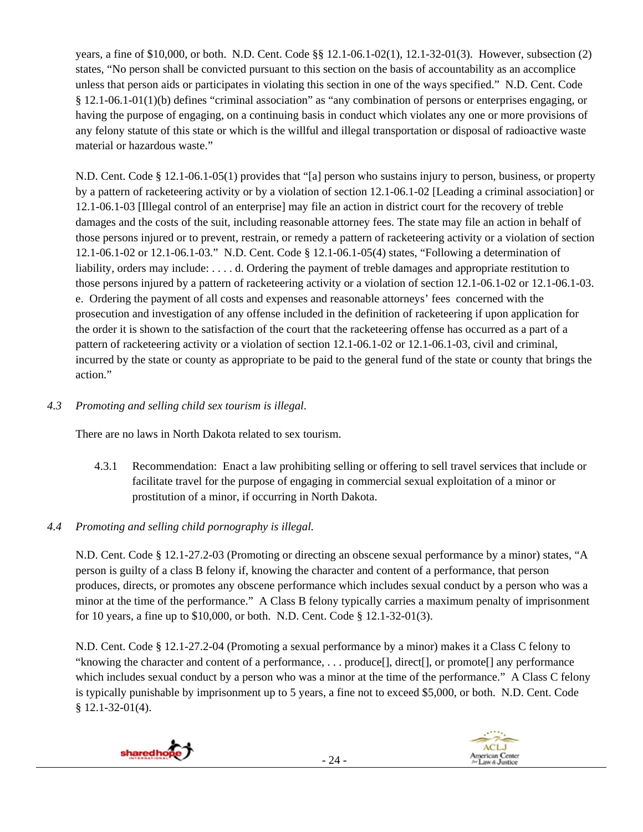years, a fine of \$10,000, or both. N.D. Cent. Code §§ 12.1-06.1-02(1), 12.1-32-01(3). However, subsection (2) states, "No person shall be convicted pursuant to this section on the basis of accountability as an accomplice unless that person aids or participates in violating this section in one of the ways specified." N.D. Cent. Code § 12.1-06.1-01(1)(b) defines "criminal association" as "any combination of persons or enterprises engaging, or having the purpose of engaging, on a continuing basis in conduct which violates any one or more provisions of any felony statute of this state or which is the willful and illegal transportation or disposal of radioactive waste material or hazardous waste."

N.D. Cent. Code § 12.1-06.1-05(1) provides that "[a] person who sustains injury to person, business, or property by a pattern of racketeering activity or by a violation of section 12.1-06.1-02 [Leading a criminal association] or 12.1-06.1-03 [Illegal control of an enterprise] may file an action in district court for the recovery of treble damages and the costs of the suit, including reasonable attorney fees. The state may file an action in behalf of those persons injured or to prevent, restrain, or remedy a pattern of racketeering activity or a violation of section 12.1-06.1-02 or 12.1-06.1-03." N.D. Cent. Code § 12.1-06.1-05(4) states, "Following a determination of liability, orders may include: . . . . d. Ordering the payment of treble damages and appropriate restitution to those persons injured by a pattern of racketeering activity or a violation of section 12.1-06.1-02 or 12.1-06.1-03. e. Ordering the payment of all costs and expenses and reasonable attorneys' fees concerned with the prosecution and investigation of any offense included in the definition of racketeering if upon application for the order it is shown to the satisfaction of the court that the racketeering offense has occurred as a part of a pattern of racketeering activity or a violation of section 12.1-06.1-02 or 12.1-06.1-03, civil and criminal, incurred by the state or county as appropriate to be paid to the general fund of the state or county that brings the action."

## *4.3 Promoting and selling child sex tourism is illegal*.

There are no laws in North Dakota related to sex tourism.

4.3.1 Recommendation: Enact a law prohibiting selling or offering to sell travel services that include or facilitate travel for the purpose of engaging in commercial sexual exploitation of a minor or prostitution of a minor, if occurring in North Dakota.

## *4.4 Promoting and selling child pornography is illegal.*

N.D. Cent. Code § 12.1-27.2-03 (Promoting or directing an obscene sexual performance by a minor) states, "A person is guilty of a class B felony if, knowing the character and content of a performance, that person produces, directs, or promotes any obscene performance which includes sexual conduct by a person who was a minor at the time of the performance." A Class B felony typically carries a maximum penalty of imprisonment for 10 years, a fine up to \$10,000, or both. N.D. Cent. Code § 12.1-32-01(3).

N.D. Cent. Code § 12.1-27.2-04 (Promoting a sexual performance by a minor) makes it a Class C felony to "knowing the character and content of a performance, . . . produce[], direct[], or promote[] any performance which includes sexual conduct by a person who was a minor at the time of the performance." A Class C felony is typically punishable by imprisonment up to 5 years, a fine not to exceed \$5,000, or both. N.D. Cent. Code § 12.1-32-01(4).





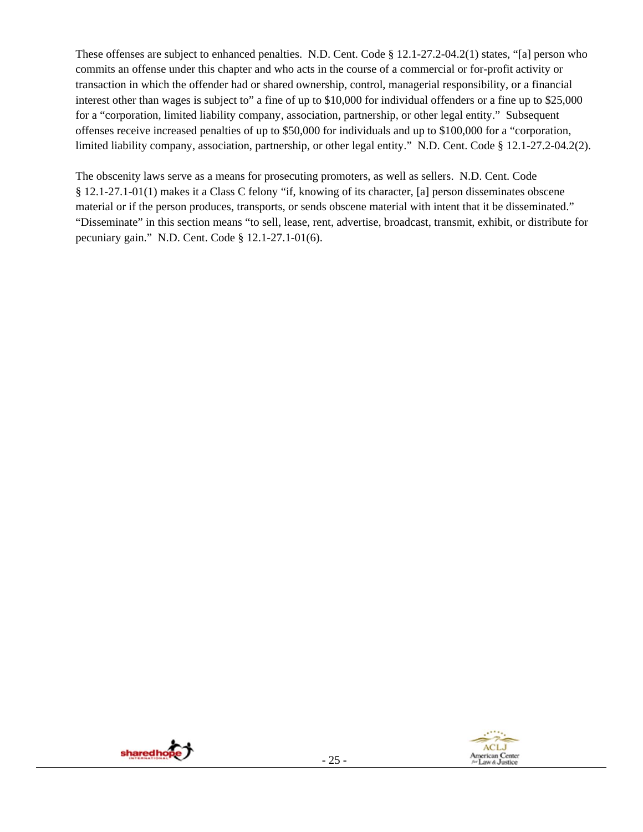These offenses are subject to enhanced penalties. N.D. Cent. Code § 12.1-27.2-04.2(1) states, "[a] person who commits an offense under this chapter and who acts in the course of a commercial or for-profit activity or transaction in which the offender had or shared ownership, control, managerial responsibility, or a financial interest other than wages is subject to" a fine of up to \$10,000 for individual offenders or a fine up to \$25,000 for a "corporation, limited liability company, association, partnership, or other legal entity." Subsequent offenses receive increased penalties of up to \$50,000 for individuals and up to \$100,000 for a "corporation, limited liability company, association, partnership, or other legal entity." N.D. Cent. Code § 12.1-27.2-04.2(2).

The obscenity laws serve as a means for prosecuting promoters, as well as sellers. N.D. Cent. Code § 12.1-27.1-01(1) makes it a Class C felony "if, knowing of its character, [a] person disseminates obscene material or if the person produces, transports, or sends obscene material with intent that it be disseminated." "Disseminate" in this section means "to sell, lease, rent, advertise, broadcast, transmit, exhibit, or distribute for pecuniary gain." N.D. Cent. Code § 12.1-27.1-01(6).

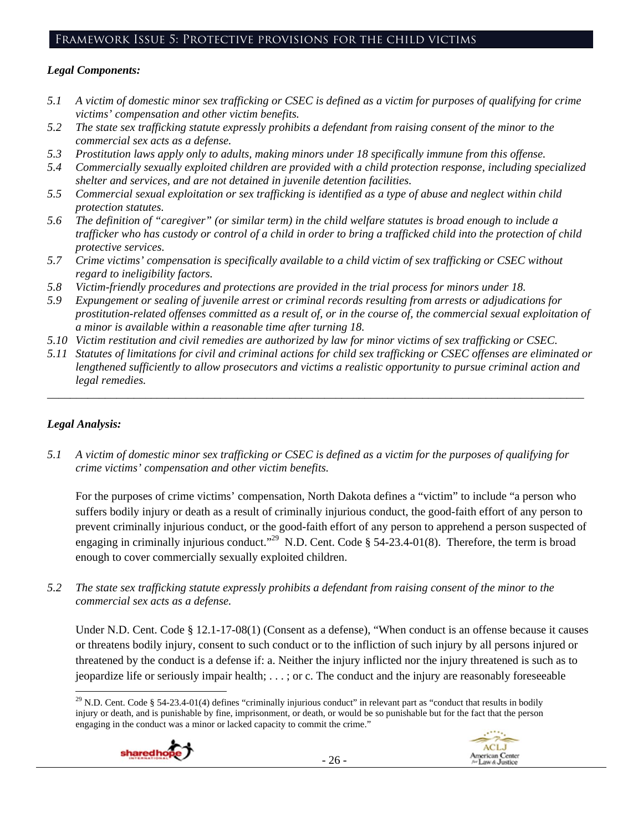## Framework Issue 5: Protective provisions for the child victims

#### *Legal Components:*

- *5.1 A victim of domestic minor sex trafficking or CSEC is defined as a victim for purposes of qualifying for crime victims' compensation and other victim benefits.*
- *5.2 The state sex trafficking statute expressly prohibits a defendant from raising consent of the minor to the commercial sex acts as a defense.*
- *5.3 Prostitution laws apply only to adults, making minors under 18 specifically immune from this offense.*
- *5.4 Commercially sexually exploited children are provided with a child protection response, including specialized shelter and services, and are not detained in juvenile detention facilities.*
- *5.5 Commercial sexual exploitation or sex trafficking is identified as a type of abuse and neglect within child protection statutes.*
- *5.6 The definition of "caregiver" (or similar term) in the child welfare statutes is broad enough to include a trafficker who has custody or control of a child in order to bring a trafficked child into the protection of child protective services.*
- *5.7 Crime victims' compensation is specifically available to a child victim of sex trafficking or CSEC without regard to ineligibility factors.*
- *5.8 Victim-friendly procedures and protections are provided in the trial process for minors under 18.*
- *5.9 Expungement or sealing of juvenile arrest or criminal records resulting from arrests or adjudications for prostitution-related offenses committed as a result of, or in the course of, the commercial sexual exploitation of a minor is available within a reasonable time after turning 18.*
- *5.10 Victim restitution and civil remedies are authorized by law for minor victims of sex trafficking or CSEC.*
- *5.11 Statutes of limitations for civil and criminal actions for child sex trafficking or CSEC offenses are eliminated or lengthened sufficiently to allow prosecutors and victims a realistic opportunity to pursue criminal action and legal remedies.*

*\_\_\_\_\_\_\_\_\_\_\_\_\_\_\_\_\_\_\_\_\_\_\_\_\_\_\_\_\_\_\_\_\_\_\_\_\_\_\_\_\_\_\_\_\_\_\_\_\_\_\_\_\_\_\_\_\_\_\_\_\_\_\_\_\_\_\_\_\_\_\_\_\_\_\_\_\_\_\_\_\_\_\_\_\_\_\_\_\_\_\_\_\_* 

## *Legal Analysis:*

*5.1 A victim of domestic minor sex trafficking or CSEC is defined as a victim for the purposes of qualifying for crime victims' compensation and other victim benefits.* 

For the purposes of crime victims' compensation, North Dakota defines a "victim" to include "a person who suffers bodily injury or death as a result of criminally injurious conduct, the good-faith effort of any person to prevent criminally injurious conduct, or the good-faith effort of any person to apprehend a person suspected of engaging in criminally injurious conduct."<sup>29</sup> N.D. Cent. Code § 54-23.4-01(8). Therefore, the term is broad enough to cover commercially sexually exploited children.

*5.2 The state sex trafficking statute expressly prohibits a defendant from raising consent of the minor to the commercial sex acts as a defense.* 

Under N.D. Cent. Code § 12.1-17-08(1) (Consent as a defense), "When conduct is an offense because it causes or threatens bodily injury, consent to such conduct or to the infliction of such injury by all persons injured or threatened by the conduct is a defense if: a. Neither the injury inflicted nor the injury threatened is such as to jeopardize life or seriously impair health; . . . ; or c. The conduct and the injury are reasonably foreseeable

  $29$  N.D. Cent. Code § 54-23.4-01(4) defines "criminally injurious conduct" in relevant part as "conduct that results in bodily injury or death, and is punishable by fine, imprisonment, or death, or would be so punishable but for the fact that the person engaging in the conduct was a minor or lacked capacity to commit the crime."



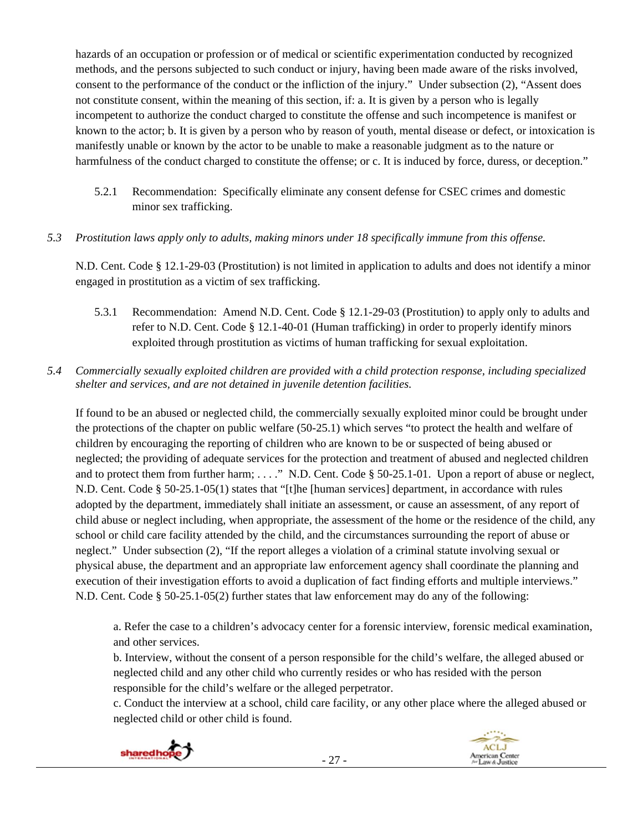hazards of an occupation or profession or of medical or scientific experimentation conducted by recognized methods, and the persons subjected to such conduct or injury, having been made aware of the risks involved, consent to the performance of the conduct or the infliction of the injury." Under subsection (2), "Assent does not constitute consent, within the meaning of this section, if: a. It is given by a person who is legally incompetent to authorize the conduct charged to constitute the offense and such incompetence is manifest or known to the actor; b. It is given by a person who by reason of youth, mental disease or defect, or intoxication is manifestly unable or known by the actor to be unable to make a reasonable judgment as to the nature or harmfulness of the conduct charged to constitute the offense; or c. It is induced by force, duress, or deception."

- 5.2.1 Recommendation: Specifically eliminate any consent defense for CSEC crimes and domestic minor sex trafficking.
- *5.3 Prostitution laws apply only to adults, making minors under 18 specifically immune from this offense.*

N.D. Cent. Code § 12.1-29-03 (Prostitution) is not limited in application to adults and does not identify a minor engaged in prostitution as a victim of sex trafficking.

- 5.3.1 Recommendation: Amend N.D. Cent. Code § 12.1-29-03 (Prostitution) to apply only to adults and refer to N.D. Cent. Code § 12.1-40-01 (Human trafficking) in order to properly identify minors exploited through prostitution as victims of human trafficking for sexual exploitation.
- *5.4 Commercially sexually exploited children are provided with a child protection response, including specialized shelter and services, and are not detained in juvenile detention facilities.*

If found to be an abused or neglected child, the commercially sexually exploited minor could be brought under the protections of the chapter on public welfare (50-25.1) which serves "to protect the health and welfare of children by encouraging the reporting of children who are known to be or suspected of being abused or neglected; the providing of adequate services for the protection and treatment of abused and neglected children and to protect them from further harm; ...." N.D. Cent. Code § 50-25.1-01. Upon a report of abuse or neglect, N.D. Cent. Code § 50-25.1-05(1) states that "[t]he [human services] department, in accordance with rules adopted by the department, immediately shall initiate an assessment, or cause an assessment, of any report of child abuse or neglect including, when appropriate, the assessment of the home or the residence of the child, any school or child care facility attended by the child, and the circumstances surrounding the report of abuse or neglect." Under subsection (2), "If the report alleges a violation of a criminal statute involving sexual or physical abuse, the department and an appropriate law enforcement agency shall coordinate the planning and execution of their investigation efforts to avoid a duplication of fact finding efforts and multiple interviews." N.D. Cent. Code § 50-25.1-05(2) further states that law enforcement may do any of the following:

a. Refer the case to a children's advocacy center for a forensic interview, forensic medical examination, and other services.

b. Interview, without the consent of a person responsible for the child's welfare, the alleged abused or neglected child and any other child who currently resides or who has resided with the person responsible for the child's welfare or the alleged perpetrator.

c. Conduct the interview at a school, child care facility, or any other place where the alleged abused or neglected child or other child is found.

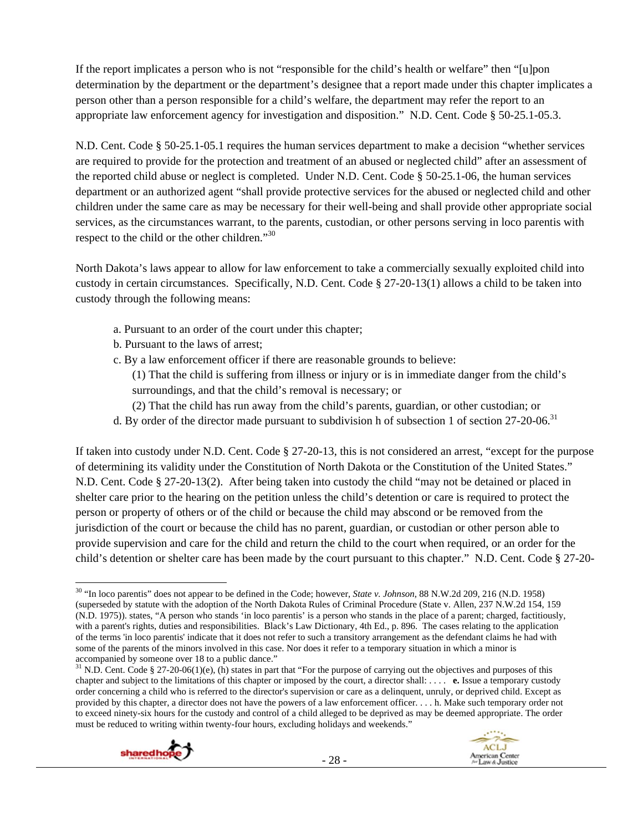If the report implicates a person who is not "responsible for the child's health or welfare" then "[u]pon determination by the department or the department's designee that a report made under this chapter implicates a person other than a person responsible for a child's welfare, the department may refer the report to an appropriate law enforcement agency for investigation and disposition." N.D. Cent. Code § 50-25.1-05.3.

N.D. Cent. Code § 50-25.1-05.1 requires the human services department to make a decision "whether services are required to provide for the protection and treatment of an abused or neglected child" after an assessment of the reported child abuse or neglect is completed. Under N.D. Cent. Code § 50-25.1-06, the human services department or an authorized agent "shall provide protective services for the abused or neglected child and other children under the same care as may be necessary for their well-being and shall provide other appropriate social services, as the circumstances warrant, to the parents, custodian, or other persons serving in loco parentis with respect to the child or the other children."30

North Dakota's laws appear to allow for law enforcement to take a commercially sexually exploited child into custody in certain circumstances. Specifically, N.D. Cent. Code § 27-20-13(1) allows a child to be taken into custody through the following means:

- a. Pursuant to an order of the court under this chapter;
- b. Pursuant to the laws of arrest;
- c. By a law enforcement officer if there are reasonable grounds to believe:

(1) That the child is suffering from illness or injury or is in immediate danger from the child's surroundings, and that the child's removal is necessary; or

- (2) That the child has run away from the child's parents, guardian, or other custodian; or
- d. By order of the director made pursuant to subdivision h of subsection 1 of section 27-20-06.<sup>31</sup>

If taken into custody under N.D. Cent. Code § 27-20-13, this is not considered an arrest, "except for the purpose of determining its validity under the Constitution of North Dakota or the Constitution of the United States." N.D. Cent. Code § 27-20-13(2). After being taken into custody the child "may not be detained or placed in shelter care prior to the hearing on the petition unless the child's detention or care is required to protect the person or property of others or of the child or because the child may abscond or be removed from the jurisdiction of the court or because the child has no parent, guardian, or custodian or other person able to provide supervision and care for the child and return the child to the court when required, or an order for the child's detention or shelter care has been made by the court pursuant to this chapter." N.D. Cent. Code § 27-20-

<sup>&</sup>lt;sup>31</sup> N.D. Cent. Code § 27-20-06(1)(e), (h) states in part that "For the purpose of carrying out the objectives and purposes of this chapter and subject to the limitations of this chapter or imposed by the court, a director shall: . . . . **e.** Issue a temporary custody order concerning a child who is referred to the director's supervision or care as a delinquent, unruly, or deprived child. Except as provided by this chapter, a director does not have the powers of a law enforcement officer. . . . h. Make such temporary order not to exceed ninety-six hours for the custody and control of a child alleged to be deprived as may be deemed appropriate. The order must be reduced to writing within twenty-four hours, excluding holidays and weekends."





 30 "In loco parentis" does not appear to be defined in the Code; however, *State v. Johnson*, 88 N.W.2d 209, 216 (N.D. 1958) (superseded by statute with the adoption of the North Dakota Rules of Criminal Procedure (State v. Allen, 237 N.W.2d 154, 159 (N.D. 1975)). states, "A person who stands 'in loco parentis' is a person who stands in the place of a parent; charged, factitiously, with a parent's rights, duties and responsibilities. Black's Law Dictionary, 4th Ed., p. 896. The cases relating to the application of the terms 'in loco parentis' indicate that it does not refer to such a transitory arrangement as the defendant claims he had with some of the parents of the minors involved in this case. Nor does it refer to a temporary situation in which a minor is accompanied by someone over 18 to a public dance."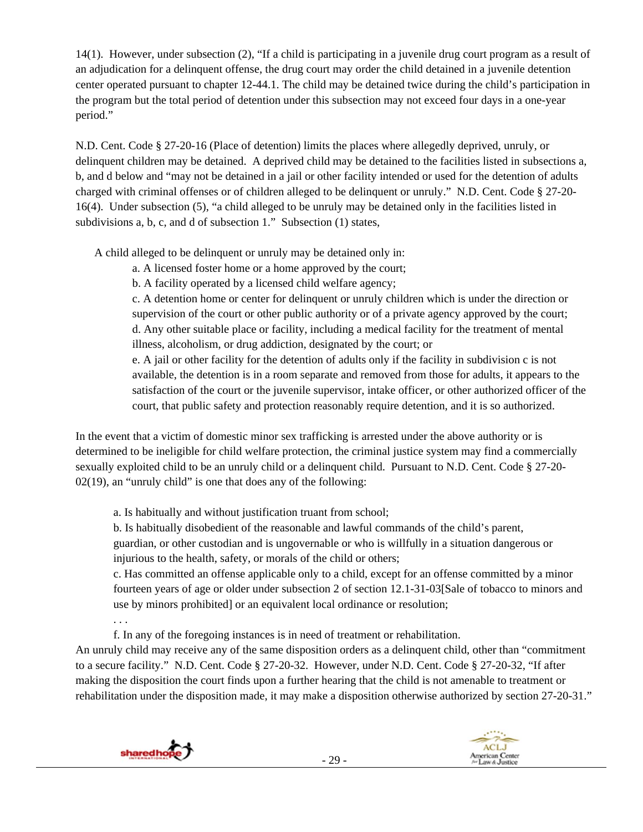14(1). However, under subsection (2), "If a child is participating in a juvenile drug court program as a result of an adjudication for a delinquent offense, the drug court may order the child detained in a juvenile detention center operated pursuant to chapter 12-44.1. The child may be detained twice during the child's participation in the program but the total period of detention under this subsection may not exceed four days in a one-year period."

N.D. Cent. Code § 27-20-16 (Place of detention) limits the places where allegedly deprived, unruly, or delinquent children may be detained. A deprived child may be detained to the facilities listed in subsections a, b, and d below and "may not be detained in a jail or other facility intended or used for the detention of adults charged with criminal offenses or of children alleged to be delinquent or unruly." N.D. Cent. Code § 27-20- 16(4). Under subsection (5), "a child alleged to be unruly may be detained only in the facilities listed in subdivisions a, b, c, and d of subsection 1." Subsection (1) states,

A child alleged to be delinquent or unruly may be detained only in:

a. A licensed foster home or a home approved by the court;

b. A facility operated by a licensed child welfare agency;

c. A detention home or center for delinquent or unruly children which is under the direction or supervision of the court or other public authority or of a private agency approved by the court; d. Any other suitable place or facility, including a medical facility for the treatment of mental illness, alcoholism, or drug addiction, designated by the court; or

e. A jail or other facility for the detention of adults only if the facility in subdivision c is not available, the detention is in a room separate and removed from those for adults, it appears to the satisfaction of the court or the juvenile supervisor, intake officer, or other authorized officer of the court, that public safety and protection reasonably require detention, and it is so authorized.

In the event that a victim of domestic minor sex trafficking is arrested under the above authority or is determined to be ineligible for child welfare protection, the criminal justice system may find a commercially sexually exploited child to be an unruly child or a delinquent child. Pursuant to N.D. Cent. Code § 27-20- 02(19), an "unruly child" is one that does any of the following:

a. Is habitually and without justification truant from school;

b. Is habitually disobedient of the reasonable and lawful commands of the child's parent, guardian, or other custodian and is ungovernable or who is willfully in a situation dangerous or injurious to the health, safety, or morals of the child or others;

c. Has committed an offense applicable only to a child, except for an offense committed by a minor fourteen years of age or older under subsection 2 of section 12.1-31-03[Sale of tobacco to minors and use by minors prohibited] or an equivalent local ordinance or resolution;

f. In any of the foregoing instances is in need of treatment or rehabilitation.

An unruly child may receive any of the same disposition orders as a delinquent child, other than "commitment to a secure facility." N.D. Cent. Code § 27-20-32. However, under N.D. Cent. Code § 27-20-32, "If after making the disposition the court finds upon a further hearing that the child is not amenable to treatment or rehabilitation under the disposition made, it may make a disposition otherwise authorized by section 27-20-31."



. . .

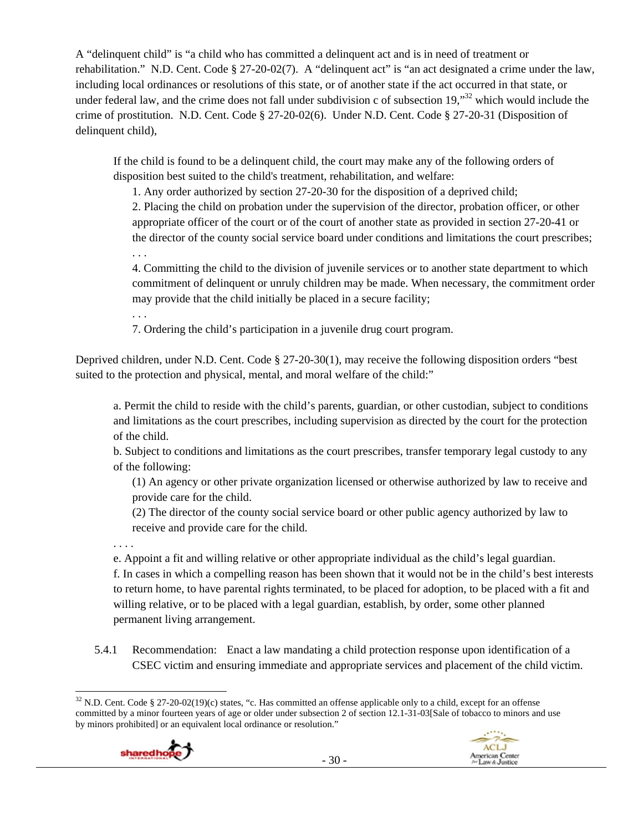A "delinquent child" is "a child who has committed a delinquent act and is in need of treatment or rehabilitation." N.D. Cent. Code § 27-20-02(7). A "delinquent act" is "an act designated a crime under the law, including local ordinances or resolutions of this state, or of another state if the act occurred in that state, or under federal law, and the crime does not fall under subdivision c of subsection 19,<sup>32</sup> which would include the crime of prostitution. N.D. Cent. Code § 27-20-02(6). Under N.D. Cent. Code § 27-20-31 (Disposition of delinquent child),

If the child is found to be a delinquent child, the court may make any of the following orders of disposition best suited to the child's treatment, rehabilitation, and welfare:

1. Any order authorized by section 27-20-30 for the disposition of a deprived child;

2. Placing the child on probation under the supervision of the director, probation officer, or other appropriate officer of the court or of the court of another state as provided in section 27-20-41 or the director of the county social service board under conditions and limitations the court prescribes;

. . .

4. Committing the child to the division of juvenile services or to another state department to which commitment of delinquent or unruly children may be made. When necessary, the commitment order may provide that the child initially be placed in a secure facility;

. . .

7. Ordering the child's participation in a juvenile drug court program.

Deprived children, under N.D. Cent. Code § 27-20-30(1), may receive the following disposition orders "best suited to the protection and physical, mental, and moral welfare of the child:"

a. Permit the child to reside with the child's parents, guardian, or other custodian, subject to conditions and limitations as the court prescribes, including supervision as directed by the court for the protection of the child.

b. Subject to conditions and limitations as the court prescribes, transfer temporary legal custody to any of the following:

(1) An agency or other private organization licensed or otherwise authorized by law to receive and provide care for the child.

(2) The director of the county social service board or other public agency authorized by law to receive and provide care for the child.

. . . .

e. Appoint a fit and willing relative or other appropriate individual as the child's legal guardian.

f. In cases in which a compelling reason has been shown that it would not be in the child's best interests to return home, to have parental rights terminated, to be placed for adoption, to be placed with a fit and willing relative, or to be placed with a legal guardian, establish, by order, some other planned permanent living arrangement.

5.4.1 Recommendation: Enact a law mandating a child protection response upon identification of a CSEC victim and ensuring immediate and appropriate services and placement of the child victim.

  $32$  N.D. Cent. Code § 27-20-02(19)(c) states, "c. Has committed an offense applicable only to a child, except for an offense committed by a minor fourteen years of age or older under subsection 2 of section 12.1-31-03[Sale of tobacco to minors and use by minors prohibited] or an equivalent local ordinance or resolution."



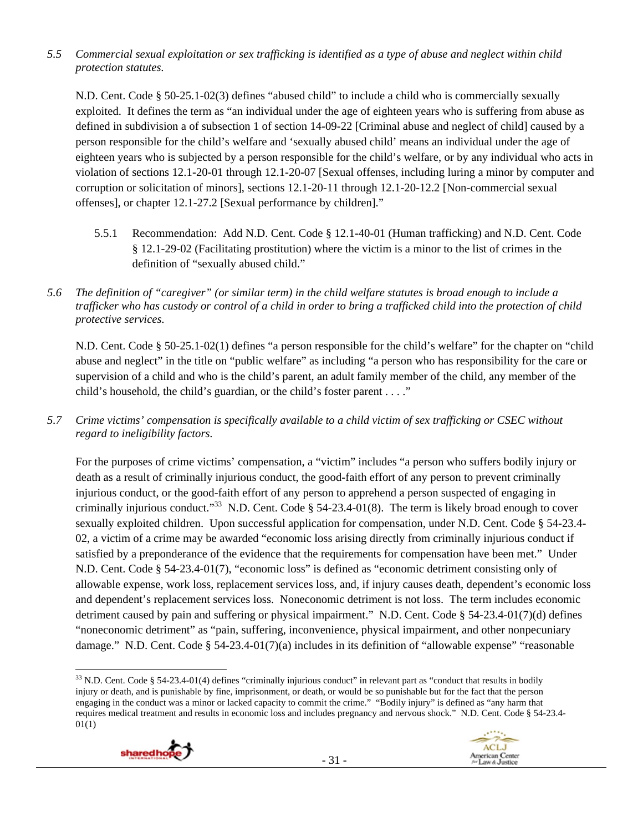## *5.5 Commercial sexual exploitation or sex trafficking is identified as a type of abuse and neglect within child protection statutes.*

N.D. Cent. Code § 50-25.1-02(3) defines "abused child" to include a child who is commercially sexually exploited. It defines the term as "an individual under the age of eighteen years who is suffering from abuse as defined in subdivision a of subsection 1 of section 14-09-22 [Criminal abuse and neglect of child] caused by a person responsible for the child's welfare and 'sexually abused child' means an individual under the age of eighteen years who is subjected by a person responsible for the child's welfare, or by any individual who acts in violation of sections 12.1-20-01 through 12.1-20-07 [Sexual offenses, including luring a minor by computer and corruption or solicitation of minors], sections 12.1-20-11 through 12.1-20-12.2 [Non-commercial sexual offenses], or chapter 12.1-27.2 [Sexual performance by children]."

- 5.5.1 Recommendation: Add N.D. Cent. Code § 12.1-40-01 (Human trafficking) and N.D. Cent. Code § 12.1-29-02 (Facilitating prostitution) where the victim is a minor to the list of crimes in the definition of "sexually abused child."
- *5.6 The definition of "caregiver" (or similar term) in the child welfare statutes is broad enough to include a trafficker who has custody or control of a child in order to bring a trafficked child into the protection of child protective services.*

N.D. Cent. Code § 50-25.1-02(1) defines "a person responsible for the child's welfare" for the chapter on "child abuse and neglect" in the title on "public welfare" as including "a person who has responsibility for the care or supervision of a child and who is the child's parent, an adult family member of the child, any member of the child's household, the child's guardian, or the child's foster parent . . . ."

*5.7 Crime victims' compensation is specifically available to a child victim of sex trafficking or CSEC without regard to ineligibility factors.* 

For the purposes of crime victims' compensation, a "victim" includes "a person who suffers bodily injury or death as a result of criminally injurious conduct, the good-faith effort of any person to prevent criminally injurious conduct, or the good-faith effort of any person to apprehend a person suspected of engaging in criminally injurious conduct."<sup>33</sup> N.D. Cent. Code § 54-23.4-01(8). The term is likely broad enough to cover sexually exploited children. Upon successful application for compensation, under N.D. Cent. Code § 54-23.4- 02, a victim of a crime may be awarded "economic loss arising directly from criminally injurious conduct if satisfied by a preponderance of the evidence that the requirements for compensation have been met." Under N.D. Cent. Code § 54-23.4-01(7), "economic loss" is defined as "economic detriment consisting only of allowable expense, work loss, replacement services loss, and, if injury causes death, dependent's economic loss and dependent's replacement services loss. Noneconomic detriment is not loss. The term includes economic detriment caused by pain and suffering or physical impairment." N.D. Cent. Code § 54-23.4-01(7)(d) defines "noneconomic detriment" as "pain, suffering, inconvenience, physical impairment, and other nonpecuniary damage." N.D. Cent. Code § 54-23.4-01(7)(a) includes in its definition of "allowable expense" "reasonable

 $33$  N.D. Cent. Code § 54-23.4-01(4) defines "criminally injurious conduct" in relevant part as "conduct that results in bodily injury or death, and is punishable by fine, imprisonment, or death, or would be so punishable but for the fact that the person engaging in the conduct was a minor or lacked capacity to commit the crime." "Bodily injury" is defined as "any harm that requires medical treatment and results in economic loss and includes pregnancy and nervous shock." N.D. Cent. Code § 54-23.4- 01(1)



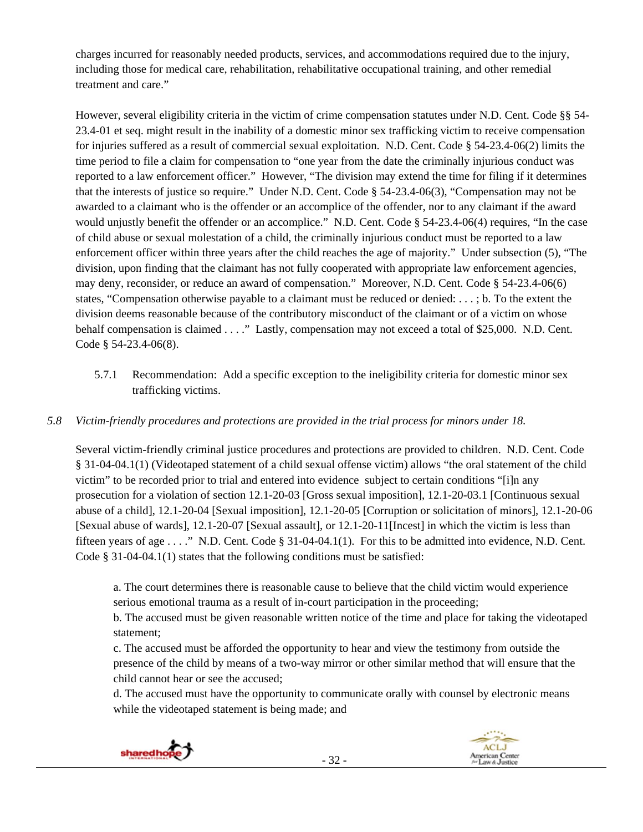charges incurred for reasonably needed products, services, and accommodations required due to the injury, including those for medical care, rehabilitation, rehabilitative occupational training, and other remedial treatment and care."

However, several eligibility criteria in the victim of crime compensation statutes under N.D. Cent. Code §§ 54- 23.4-01 et seq. might result in the inability of a domestic minor sex trafficking victim to receive compensation for injuries suffered as a result of commercial sexual exploitation. N.D. Cent. Code § 54-23.4-06(2) limits the time period to file a claim for compensation to "one year from the date the criminally injurious conduct was reported to a law enforcement officer." However, "The division may extend the time for filing if it determines that the interests of justice so require." Under N.D. Cent. Code § 54-23.4-06(3), "Compensation may not be awarded to a claimant who is the offender or an accomplice of the offender, nor to any claimant if the award would unjustly benefit the offender or an accomplice." N.D. Cent. Code § 54-23.4-06(4) requires, "In the case of child abuse or sexual molestation of a child, the criminally injurious conduct must be reported to a law enforcement officer within three years after the child reaches the age of majority." Under subsection (5), "The division, upon finding that the claimant has not fully cooperated with appropriate law enforcement agencies, may deny, reconsider, or reduce an award of compensation." Moreover, N.D. Cent. Code § 54-23.4-06(6) states, "Compensation otherwise payable to a claimant must be reduced or denied: . . . ; b. To the extent the division deems reasonable because of the contributory misconduct of the claimant or of a victim on whose behalf compensation is claimed . . . ." Lastly, compensation may not exceed a total of \$25,000. N.D. Cent. Code § 54-23.4-06(8).

5.7.1 Recommendation: Add a specific exception to the ineligibility criteria for domestic minor sex trafficking victims.

# *5.8 Victim-friendly procedures and protections are provided in the trial process for minors under 18.*

Several victim-friendly criminal justice procedures and protections are provided to children. N.D. Cent. Code § 31-04-04.1(1) (Videotaped statement of a child sexual offense victim) allows "the oral statement of the child victim" to be recorded prior to trial and entered into evidence subject to certain conditions "[i]n any prosecution for a violation of section 12.1-20-03 [Gross sexual imposition], 12.1-20-03.1 [Continuous sexual abuse of a child], 12.1-20-04 [Sexual imposition], 12.1-20-05 [Corruption or solicitation of minors], 12.1-20-06 [Sexual abuse of wards], 12.1-20-07 [Sexual assault], or 12.1-20-11[Incest] in which the victim is less than fifteen years of age . . . ." N.D. Cent. Code § 31-04-04.1(1). For this to be admitted into evidence, N.D. Cent. Code § 31-04-04.1(1) states that the following conditions must be satisfied:

a. The court determines there is reasonable cause to believe that the child victim would experience serious emotional trauma as a result of in-court participation in the proceeding;

b. The accused must be given reasonable written notice of the time and place for taking the videotaped statement;

c. The accused must be afforded the opportunity to hear and view the testimony from outside the presence of the child by means of a two-way mirror or other similar method that will ensure that the child cannot hear or see the accused;

d. The accused must have the opportunity to communicate orally with counsel by electronic means while the videotaped statement is being made; and



**ACLJ** 

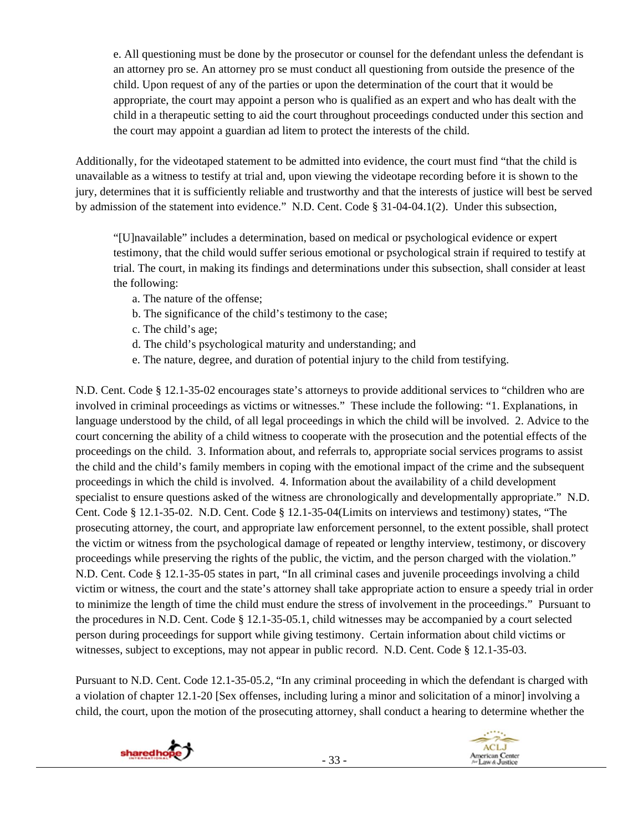e. All questioning must be done by the prosecutor or counsel for the defendant unless the defendant is an attorney pro se. An attorney pro se must conduct all questioning from outside the presence of the child. Upon request of any of the parties or upon the determination of the court that it would be appropriate, the court may appoint a person who is qualified as an expert and who has dealt with the child in a therapeutic setting to aid the court throughout proceedings conducted under this section and the court may appoint a guardian ad litem to protect the interests of the child.

Additionally, for the videotaped statement to be admitted into evidence, the court must find "that the child is unavailable as a witness to testify at trial and, upon viewing the videotape recording before it is shown to the jury, determines that it is sufficiently reliable and trustworthy and that the interests of justice will best be served by admission of the statement into evidence." N.D. Cent. Code § 31-04-04.1(2). Under this subsection,

"[U]navailable" includes a determination, based on medical or psychological evidence or expert testimony, that the child would suffer serious emotional or psychological strain if required to testify at trial. The court, in making its findings and determinations under this subsection, shall consider at least the following:

- a. The nature of the offense;
- b. The significance of the child's testimony to the case;
- c. The child's age;
- d. The child's psychological maturity and understanding; and
- e. The nature, degree, and duration of potential injury to the child from testifying.

N.D. Cent. Code § 12.1-35-02 encourages state's attorneys to provide additional services to "children who are involved in criminal proceedings as victims or witnesses." These include the following: "1. Explanations, in language understood by the child, of all legal proceedings in which the child will be involved. 2. Advice to the court concerning the ability of a child witness to cooperate with the prosecution and the potential effects of the proceedings on the child. 3. Information about, and referrals to, appropriate social services programs to assist the child and the child's family members in coping with the emotional impact of the crime and the subsequent proceedings in which the child is involved. 4. Information about the availability of a child development specialist to ensure questions asked of the witness are chronologically and developmentally appropriate." N.D. Cent. Code § 12.1-35-02. N.D. Cent. Code § 12.1-35-04(Limits on interviews and testimony) states, "The prosecuting attorney, the court, and appropriate law enforcement personnel, to the extent possible, shall protect the victim or witness from the psychological damage of repeated or lengthy interview, testimony, or discovery proceedings while preserving the rights of the public, the victim, and the person charged with the violation." N.D. Cent. Code § 12.1-35-05 states in part, "In all criminal cases and juvenile proceedings involving a child victim or witness, the court and the state's attorney shall take appropriate action to ensure a speedy trial in order to minimize the length of time the child must endure the stress of involvement in the proceedings." Pursuant to the procedures in N.D. Cent. Code § 12.1-35-05.1, child witnesses may be accompanied by a court selected person during proceedings for support while giving testimony. Certain information about child victims or witnesses, subject to exceptions, may not appear in public record. N.D. Cent. Code § 12.1-35-03.

Pursuant to N.D. Cent. Code 12.1-35-05.2, "In any criminal proceeding in which the defendant is charged with a violation of chapter 12.1-20 [Sex offenses, including luring a minor and solicitation of a minor] involving a child, the court, upon the motion of the prosecuting attorney, shall conduct a hearing to determine whether the



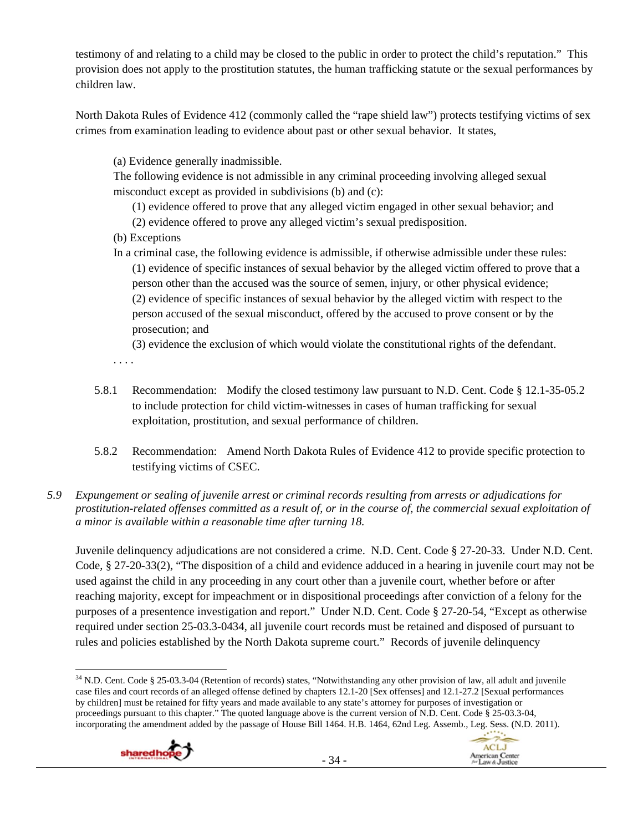testimony of and relating to a child may be closed to the public in order to protect the child's reputation." This provision does not apply to the prostitution statutes, the human trafficking statute or the sexual performances by children law.

North Dakota Rules of Evidence 412 (commonly called the "rape shield law") protects testifying victims of sex crimes from examination leading to evidence about past or other sexual behavior. It states,

(a) Evidence generally inadmissible.

The following evidence is not admissible in any criminal proceeding involving alleged sexual misconduct except as provided in subdivisions (b) and (c):

(1) evidence offered to prove that any alleged victim engaged in other sexual behavior; and

(2) evidence offered to prove any alleged victim's sexual predisposition.

- (b) Exceptions
- In a criminal case, the following evidence is admissible, if otherwise admissible under these rules: (1) evidence of specific instances of sexual behavior by the alleged victim offered to prove that a person other than the accused was the source of semen, injury, or other physical evidence; (2) evidence of specific instances of sexual behavior by the alleged victim with respect to the person accused of the sexual misconduct, offered by the accused to prove consent or by the prosecution; and

(3) evidence the exclusion of which would violate the constitutional rights of the defendant.

. . . .

- 5.8.1 Recommendation: Modify the closed testimony law pursuant to N.D. Cent. Code § 12.1-35-05.2 to include protection for child victim-witnesses in cases of human trafficking for sexual exploitation, prostitution, and sexual performance of children.
- 5.8.2 Recommendation: Amend North Dakota Rules of Evidence 412 to provide specific protection to testifying victims of CSEC.

## *5.9 Expungement or sealing of juvenile arrest or criminal records resulting from arrests or adjudications for prostitution-related offenses committed as a result of, or in the course of, the commercial sexual exploitation of a minor is available within a reasonable time after turning 18.*

Juvenile delinquency adjudications are not considered a crime. N.D. Cent. Code § 27-20-33. Under N.D. Cent. Code, § 27-20-33(2), "The disposition of a child and evidence adduced in a hearing in juvenile court may not be used against the child in any proceeding in any court other than a juvenile court, whether before or after reaching majority, except for impeachment or in dispositional proceedings after conviction of a felony for the purposes of a presentence investigation and report." Under N.D. Cent. Code § 27-20-54, "Except as otherwise required under section 25-03.3-0434, all juvenile court records must be retained and disposed of pursuant to rules and policies established by the North Dakota supreme court." Records of juvenile delinquency

  $34$  N.D. Cent. Code § 25-03.3-04 (Retention of records) states, "Notwithstanding any other provision of law, all adult and juvenile case files and court records of an alleged offense defined by chapters 12.1-20 [Sex offenses] and 12.1-27.2 [Sexual performances by children] must be retained for fifty years and made available to any state's attorney for purposes of investigation or proceedings pursuant to this chapter." The quoted language above is the current version of N.D. Cent. Code § 25-03.3-04, incorporating the amendment added by the passage of House Bill 1464. H.B. 1464, 62nd Leg. Assemb., Leg. Sess. (N.D. 2011).



**ACLJ** 

American Center<br>/er Law & Justice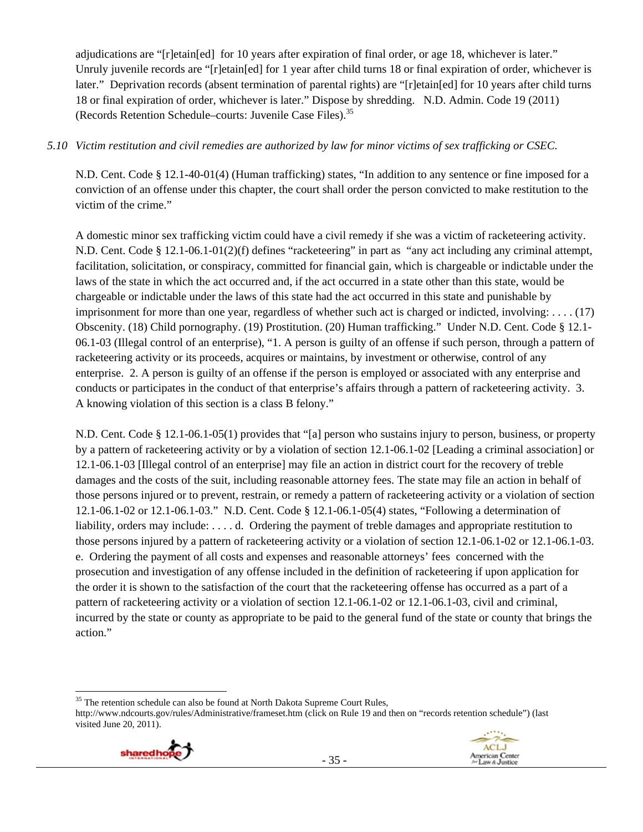adjudications are "[r]etain[ed] for 10 years after expiration of final order, or age 18, whichever is later." Unruly juvenile records are "[r]etain[ed] for 1 year after child turns 18 or final expiration of order, whichever is later." Deprivation records (absent termination of parental rights) are "[r]etain[ed] for 10 years after child turns 18 or final expiration of order, whichever is later." Dispose by shredding. N.D. Admin. Code 19 (2011) (Records Retention Schedule–courts: Juvenile Case Files).35

#### *5.10 Victim restitution and civil remedies are authorized by law for minor victims of sex trafficking or CSEC.*

N.D. Cent. Code § 12.1-40-01(4) (Human trafficking) states, "In addition to any sentence or fine imposed for a conviction of an offense under this chapter, the court shall order the person convicted to make restitution to the victim of the crime."

A domestic minor sex trafficking victim could have a civil remedy if she was a victim of racketeering activity. N.D. Cent. Code § 12.1-06.1-01(2)(f) defines "racketeering" in part as "any act including any criminal attempt, facilitation, solicitation, or conspiracy, committed for financial gain, which is chargeable or indictable under the laws of the state in which the act occurred and, if the act occurred in a state other than this state, would be chargeable or indictable under the laws of this state had the act occurred in this state and punishable by imprisonment for more than one year, regardless of whether such act is charged or indicted, involving: . . . . (17) Obscenity. (18) Child pornography. (19) Prostitution. (20) Human trafficking." Under N.D. Cent. Code § 12.1- 06.1-03 (Illegal control of an enterprise), "1. A person is guilty of an offense if such person, through a pattern of racketeering activity or its proceeds, acquires or maintains, by investment or otherwise, control of any enterprise. 2. A person is guilty of an offense if the person is employed or associated with any enterprise and conducts or participates in the conduct of that enterprise's affairs through a pattern of racketeering activity. 3. A knowing violation of this section is a class B felony."

N.D. Cent. Code § 12.1-06.1-05(1) provides that "[a] person who sustains injury to person, business, or property by a pattern of racketeering activity or by a violation of section 12.1-06.1-02 [Leading a criminal association] or 12.1-06.1-03 [Illegal control of an enterprise] may file an action in district court for the recovery of treble damages and the costs of the suit, including reasonable attorney fees. The state may file an action in behalf of those persons injured or to prevent, restrain, or remedy a pattern of racketeering activity or a violation of section 12.1-06.1-02 or 12.1-06.1-03." N.D. Cent. Code § 12.1-06.1-05(4) states, "Following a determination of liability, orders may include: . . . . d. Ordering the payment of treble damages and appropriate restitution to those persons injured by a pattern of racketeering activity or a violation of section 12.1-06.1-02 or 12.1-06.1-03. e. Ordering the payment of all costs and expenses and reasonable attorneys' fees concerned with the prosecution and investigation of any offense included in the definition of racketeering if upon application for the order it is shown to the satisfaction of the court that the racketeering offense has occurred as a part of a pattern of racketeering activity or a violation of section 12.1-06.1-02 or 12.1-06.1-03, civil and criminal, incurred by the state or county as appropriate to be paid to the general fund of the state or county that brings the action."

http://www.ndcourts.gov/rules/Administrative/frameset.htm (click on Rule 19 and then on "records retention schedule") (last visited June 20, 2011).





 $35$  The retention schedule can also be found at North Dakota Supreme Court Rules,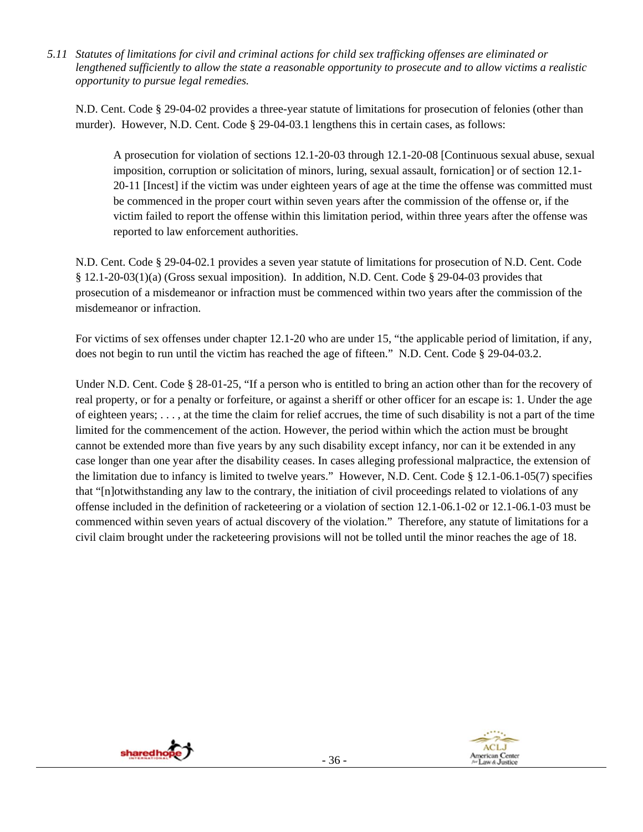*5.11 Statutes of limitations for civil and criminal actions for child sex trafficking offenses are eliminated or lengthened sufficiently to allow the state a reasonable opportunity to prosecute and to allow victims a realistic opportunity to pursue legal remedies.* 

N.D. Cent. Code § 29-04-02 provides a three-year statute of limitations for prosecution of felonies (other than murder). However, N.D. Cent. Code § 29-04-03.1 lengthens this in certain cases, as follows:

A prosecution for violation of sections 12.1-20-03 through 12.1-20-08 [Continuous sexual abuse, sexual imposition, corruption or solicitation of minors, luring, sexual assault, fornication] or of section 12.1- 20-11 [Incest] if the victim was under eighteen years of age at the time the offense was committed must be commenced in the proper court within seven years after the commission of the offense or, if the victim failed to report the offense within this limitation period, within three years after the offense was reported to law enforcement authorities.

N.D. Cent. Code § 29-04-02.1 provides a seven year statute of limitations for prosecution of N.D. Cent. Code § 12.1-20-03(1)(a) (Gross sexual imposition). In addition, N.D. Cent. Code § 29-04-03 provides that prosecution of a misdemeanor or infraction must be commenced within two years after the commission of the misdemeanor or infraction.

For victims of sex offenses under chapter 12.1-20 who are under 15, "the applicable period of limitation, if any, does not begin to run until the victim has reached the age of fifteen." N.D. Cent. Code § 29-04-03.2.

Under N.D. Cent. Code § 28-01-25, "If a person who is entitled to bring an action other than for the recovery of real property, or for a penalty or forfeiture, or against a sheriff or other officer for an escape is: 1. Under the age of eighteen years; . . . , at the time the claim for relief accrues, the time of such disability is not a part of the time limited for the commencement of the action. However, the period within which the action must be brought cannot be extended more than five years by any such disability except infancy, nor can it be extended in any case longer than one year after the disability ceases. In cases alleging professional malpractice, the extension of the limitation due to infancy is limited to twelve years." However, N.D. Cent. Code § 12.1-06.1-05(7) specifies that "[n]otwithstanding any law to the contrary, the initiation of civil proceedings related to violations of any offense included in the definition of racketeering or a violation of section 12.1-06.1-02 or 12.1-06.1-03 must be commenced within seven years of actual discovery of the violation." Therefore, any statute of limitations for a civil claim brought under the racketeering provisions will not be tolled until the minor reaches the age of 18.



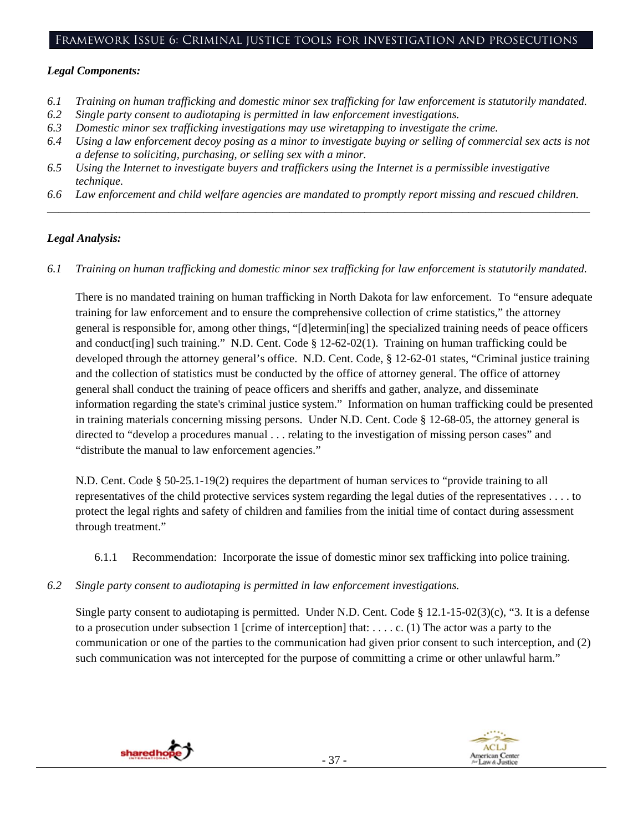#### Framework Issue 6: Criminal justice tools for investigation and prosecutions

#### *Legal Components:*

- *6.1 Training on human trafficking and domestic minor sex trafficking for law enforcement is statutorily mandated.*
- *6.2 Single party consent to audiotaping is permitted in law enforcement investigations.*
- *6.3 Domestic minor sex trafficking investigations may use wiretapping to investigate the crime.*
- *6.4 Using a law enforcement decoy posing as a minor to investigate buying or selling of commercial sex acts is not a defense to soliciting, purchasing, or selling sex with a minor.*
- *6.5 Using the Internet to investigate buyers and traffickers using the Internet is a permissible investigative technique.*
- *6.6 Law enforcement and child welfare agencies are mandated to promptly report missing and rescued children. \_\_\_\_\_\_\_\_\_\_\_\_\_\_\_\_\_\_\_\_\_\_\_\_\_\_\_\_\_\_\_\_\_\_\_\_\_\_\_\_\_\_\_\_\_\_\_\_\_\_\_\_\_\_\_\_\_\_\_\_\_\_\_\_\_\_\_\_\_\_\_\_\_\_\_\_\_\_\_\_\_\_\_\_\_\_\_\_\_\_\_\_\_\_*

#### *Legal Analysis:*

*6.1 Training on human trafficking and domestic minor sex trafficking for law enforcement is statutorily mandated.*

There is no mandated training on human trafficking in North Dakota for law enforcement. To "ensure adequate training for law enforcement and to ensure the comprehensive collection of crime statistics," the attorney general is responsible for, among other things, "[d]etermin[ing] the specialized training needs of peace officers and conduct[ing] such training." N.D. Cent. Code § 12-62-02(1). Training on human trafficking could be developed through the attorney general's office. N.D. Cent. Code, § 12-62-01 states, "Criminal justice training and the collection of statistics must be conducted by the office of attorney general. The office of attorney general shall conduct the training of peace officers and sheriffs and gather, analyze, and disseminate information regarding the state's criminal justice system." Information on human trafficking could be presented in training materials concerning missing persons. Under N.D. Cent. Code § 12-68-05, the attorney general is directed to "develop a procedures manual . . . relating to the investigation of missing person cases" and "distribute the manual to law enforcement agencies."

N.D. Cent. Code § 50-25.1-19(2) requires the department of human services to "provide training to all representatives of the child protective services system regarding the legal duties of the representatives . . . . to protect the legal rights and safety of children and families from the initial time of contact during assessment through treatment."

- 6.1.1 Recommendation: Incorporate the issue of domestic minor sex trafficking into police training.
- *6.2 Single party consent to audiotaping is permitted in law enforcement investigations.*

Single party consent to audiotaping is permitted. Under N.D. Cent. Code § 12.1-15-02(3)(c), "3. It is a defense to a prosecution under subsection 1 [crime of interception] that: . . . . c. (1) The actor was a party to the communication or one of the parties to the communication had given prior consent to such interception, and (2) such communication was not intercepted for the purpose of committing a crime or other unlawful harm."



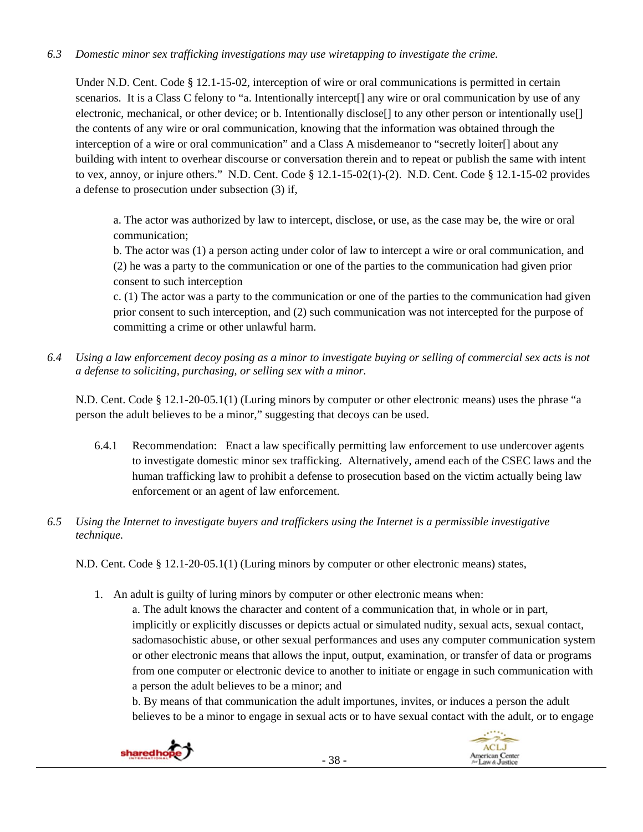# *6.3 Domestic minor sex trafficking investigations may use wiretapping to investigate the crime.*

Under N.D. Cent. Code § 12.1-15-02, interception of wire or oral communications is permitted in certain scenarios. It is a Class C felony to "a. Intentionally intercept[] any wire or oral communication by use of any electronic, mechanical, or other device; or b. Intentionally disclose[] to any other person or intentionally use[] the contents of any wire or oral communication, knowing that the information was obtained through the interception of a wire or oral communication" and a Class A misdemeanor to "secretly loiter[] about any building with intent to overhear discourse or conversation therein and to repeat or publish the same with intent to vex, annoy, or injure others." N.D. Cent. Code § 12.1-15-02(1)-(2). N.D. Cent. Code § 12.1-15-02 provides a defense to prosecution under subsection (3) if,

a. The actor was authorized by law to intercept, disclose, or use, as the case may be, the wire or oral communication;

b. The actor was (1) a person acting under color of law to intercept a wire or oral communication, and (2) he was a party to the communication or one of the parties to the communication had given prior consent to such interception

c. (1) The actor was a party to the communication or one of the parties to the communication had given prior consent to such interception, and (2) such communication was not intercepted for the purpose of committing a crime or other unlawful harm.

*6.4 Using a law enforcement decoy posing as a minor to investigate buying or selling of commercial sex acts is not a defense to soliciting, purchasing, or selling sex with a minor.* 

N.D. Cent. Code § 12.1-20-05.1(1) (Luring minors by computer or other electronic means) uses the phrase "a person the adult believes to be a minor," suggesting that decoys can be used.

- 6.4.1 Recommendation: Enact a law specifically permitting law enforcement to use undercover agents to investigate domestic minor sex trafficking. Alternatively, amend each of the CSEC laws and the human trafficking law to prohibit a defense to prosecution based on the victim actually being law enforcement or an agent of law enforcement.
- *6.5 Using the Internet to investigate buyers and traffickers using the Internet is a permissible investigative technique.*

N.D. Cent. Code § 12.1-20-05.1(1) (Luring minors by computer or other electronic means) states,

1. An adult is guilty of luring minors by computer or other electronic means when:

a. The adult knows the character and content of a communication that, in whole or in part, implicitly or explicitly discusses or depicts actual or simulated nudity, sexual acts, sexual contact, sadomasochistic abuse, or other sexual performances and uses any computer communication system or other electronic means that allows the input, output, examination, or transfer of data or programs from one computer or electronic device to another to initiate or engage in such communication with a person the adult believes to be a minor; and

b. By means of that communication the adult importunes, invites, or induces a person the adult believes to be a minor to engage in sexual acts or to have sexual contact with the adult, or to engage